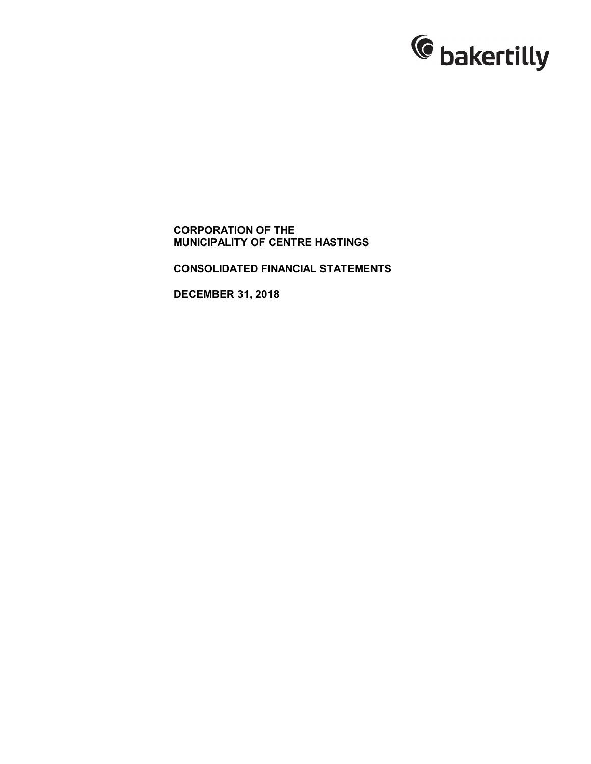

**CONSOLIDATED FINANCIAL STATEMENTS**

**DECEMBER 31, 2018**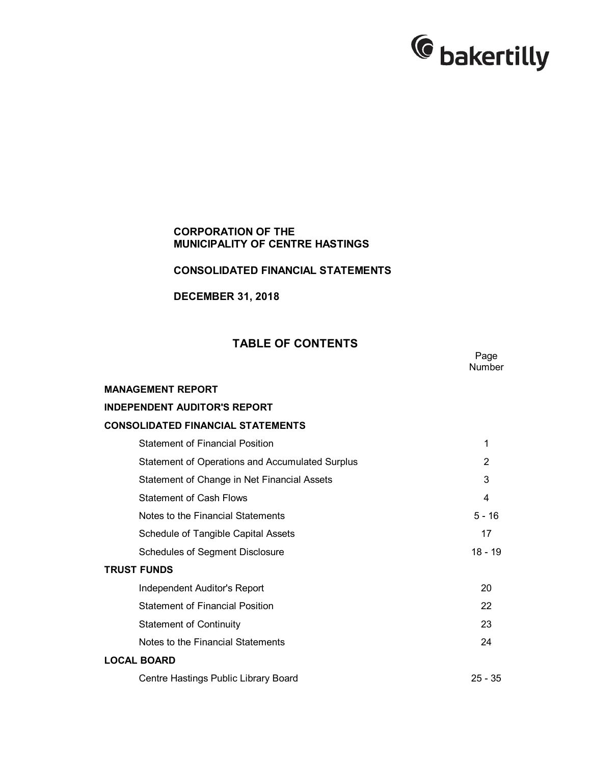

## **CONSOLIDATED FINANCIAL STATEMENTS**

**DECEMBER 31, 2018**

# **TABLE OF CONTENTS**

|                                                 | Page<br><b>Number</b> |
|-------------------------------------------------|-----------------------|
| <b>MANAGEMENT REPORT</b>                        |                       |
| <b>INDEPENDENT AUDITOR'S REPORT</b>             |                       |
| <b>CONSOLIDATED FINANCIAL STATEMENTS</b>        |                       |
| <b>Statement of Financial Position</b>          | 1                     |
| Statement of Operations and Accumulated Surplus | 2                     |
| Statement of Change in Net Financial Assets     | 3                     |
| <b>Statement of Cash Flows</b>                  | 4                     |
| Notes to the Financial Statements               | $5 - 16$              |
| Schedule of Tangible Capital Assets             | 17                    |
| <b>Schedules of Segment Disclosure</b>          | $18 - 19$             |
| <b>TRUST FUNDS</b>                              |                       |
| Independent Auditor's Report                    | 20                    |
| <b>Statement of Financial Position</b>          | 22                    |
| <b>Statement of Continuity</b>                  | 23                    |
| Notes to the Financial Statements               | 24                    |
| <b>LOCAL BOARD</b>                              |                       |
| Centre Hastings Public Library Board            | $25 - 35$             |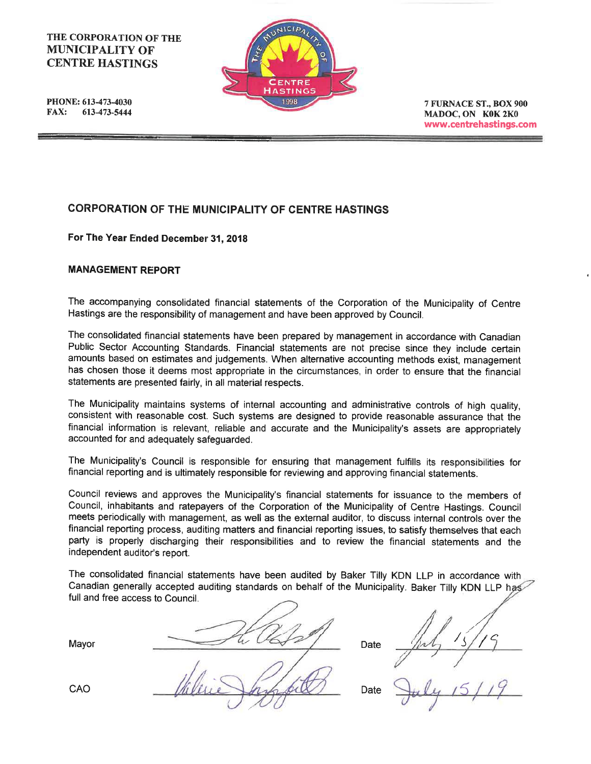PHONE: 613-473-4030

613-473-5444

**FAX:** 



7 FURNACE ST., BOX 900 MADOC, ON K0K 2K0 www.centrehastings.com

**CORPORATION OF THE MUNICIPALITY OF CENTRE HASTINGS** 

## For The Year Ended December 31, 2018

## **MANAGEMENT REPORT**

The accompanying consolidated financial statements of the Corporation of the Municipality of Centre Hastings are the responsibility of management and have been approved by Council.

The consolidated financial statements have been prepared by management in accordance with Canadian Public Sector Accounting Standards. Financial statements are not precise since they include certain amounts based on estimates and judgements. When alternative accounting methods exist, management has chosen those it deems most appropriate in the circumstances, in order to ensure that the financial statements are presented fairly, in all material respects.

The Municipality maintains systems of internal accounting and administrative controls of high quality, consistent with reasonable cost. Such systems are designed to provide reasonable assurance that the financial information is relevant, reliable and accurate and the Municipality's assets are appropriately accounted for and adequately safeguarded.

The Municipality's Council is responsible for ensuring that management fulfills its responsibilities for financial reporting and is ultimately responsible for reviewing and approving financial statements.

Council reviews and approves the Municipality's financial statements for issuance to the members of Council, inhabitants and ratepayers of the Corporation of the Municipality of Centre Hastings. Council meets periodically with management, as well as the external auditor, to discuss internal controls over the financial reporting process, auditing matters and financial reporting issues, to satisfy themselves that each party is properly discharging their responsibilities and to review the financial statements and the independent auditor's report.

The consolidated financial statements have been audited by Baker Tilly KDN LLP in accordance with Canadian generally accepted auditing standards on behalf of the Municipality. Baker Tilly KDN LLP has full and free access to Council.

Mayor

Date

Date

CAO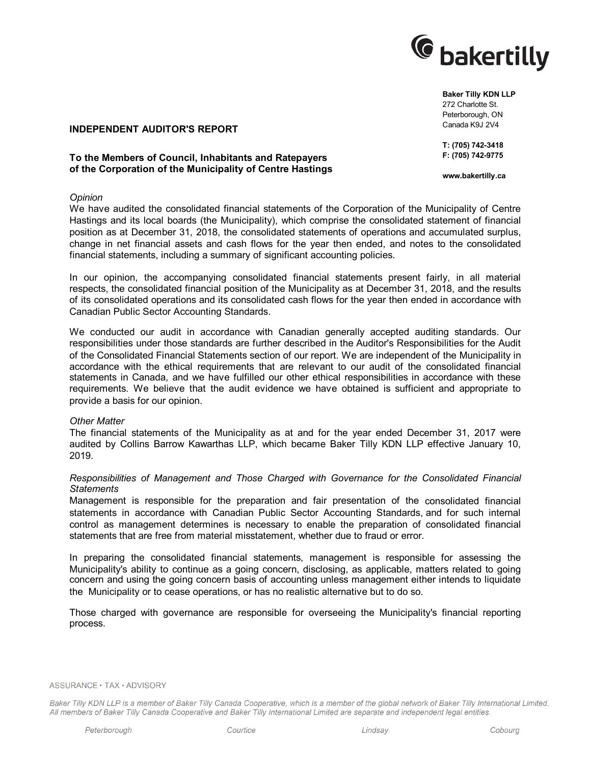

## **Baker Tilly KDN LLP**

272 Charlotte St. Peterborough, ON Canada K9J 2V4

**T: (705) 742-3418 F: (705) 742-9775**

**www.bakertilly.ca**

### **INDEPENDENT AUDITOR'S REPORT**

### **To the Members of Council, Inhabitants and Ratepayers of the Corporation of the Municipality of Centre Hastings**

#### *Opinion*

We have audited the consolidated financial statements of the Corporation of the Municipality of Centre Hastings and its local boards (the Municipality), which comprise the consolidated statement of financial position as at December 31, 2018, the consolidated statements of operations and accumulated surplus, change in net financial assets and cash flows for the year then ended, and notes to the consolidated financial statements, including a summary of significant accounting policies.

In our opinion, the accompanying consolidated financial statements present fairly, in all material respects, the consolidated financial position of the Municipality as at December 31, 2018, and the results of its consolidated operations and its consolidated cash flows for the year then ended in accordance with Canadian Public Sector Accounting Standards.

We conducted our audit in accordance with Canadian generally accepted auditing standards. Our responsibilities under those standards are further described in the Auditor's Responsibilities for the Audit of the Consolidated Financial Statements section of our report. We are independent of the Municipality in accordance with the ethical requirements that are relevant to our audit of the consolidated financial statements in Canada, and we have fulfilled our other ethical responsibilities in accordance with these requirements. We believe that the audit evidence we have obtained is sufficient and appropriate to provide a basis for our opinion.

#### *Other Matter*

The financial statements of the Municipality as at and for the year ended December 31, 2017 were audited by Collins Barrow Kawarthas LLP, which became Baker Tilly KDN LLP effective January 10, 2019.

### *Responsibilities of Management and Those Charged with Governance for the Consolidated Financial Statements*

Management is responsible for the preparation and fair presentation of the consolidated financial statements in accordance with Canadian Public Sector Accounting Standards, and for such internal control as management determines is necessary to enable the preparation of consolidated financial statements that are free from material misstatement, whether due to fraud or error.

In preparing the consolidated financial statements, management is responsible for assessing the Municipality's ability to continue as a going concern, disclosing, as applicable, matters related to going concern and using the going concern basis of accounting unless management either intends to liquidate the Municipality or to cease operations, or has no realistic alternative but to do so.

Those charged with governance are responsible for overseeing the Municipality's financial reporting process.

#### ASSURANCE · TAX · ADVISORY

Baker Tilly KDN LLP is a member of Baker Tilly Canada Cooperative, which is a member of the global network of Baker Tilly International Limited. All members of Baker Tilly Canada Cooperative and Baker Tilly International Limited are separate and independent legal entities.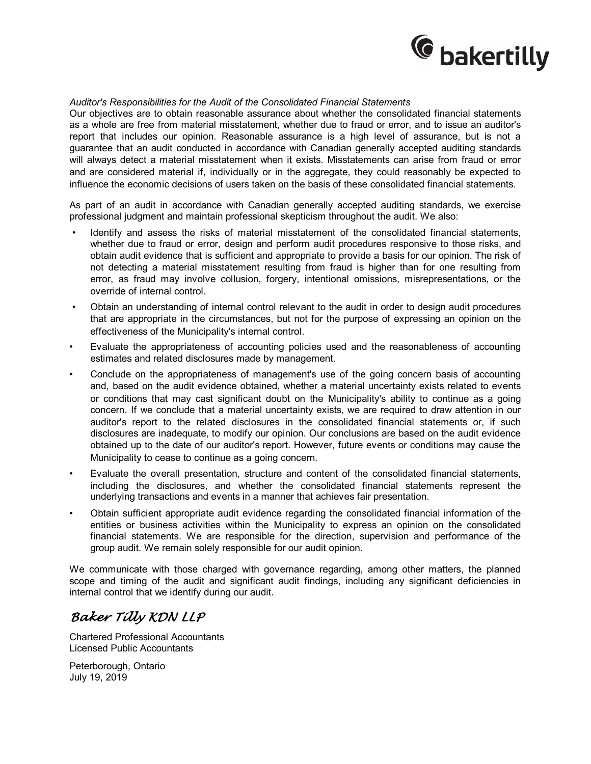

#### *Auditor's Responsibilities for the Audit of the Consolidated Financial Statements*

Our objectives are to obtain reasonable assurance about whether the consolidated financial statements as a whole are free from material misstatement, whether due to fraud or error, and to issue an auditor's report that includes our opinion. Reasonable assurance is a high level of assurance, but is not a guarantee that an audit conducted in accordance with Canadian generally accepted auditing standards will always detect a material misstatement when it exists. Misstatements can arise from fraud or error and are considered material if, individually or in the aggregate, they could reasonably be expected to influence the economic decisions of users taken on the basis of these consolidated financial statements.

As part of an audit in accordance with Canadian generally accepted auditing standards, we exercise professional judgment and maintain professional skepticism throughout the audit. We also:

- Identify and assess the risks of material misstatement of the consolidated financial statements, whether due to fraud or error, design and perform audit procedures responsive to those risks, and obtain audit evidence that is sufficient and appropriate to provide a basis for our opinion. The risk of not detecting a material misstatement resulting from fraud is higher than for one resulting from error, as fraud may involve collusion, forgery, intentional omissions, misrepresentations, or the override of internal control.
- Obtain an understanding of internal control relevant to the audit in order to design audit procedures that are appropriate in the circumstances, but not for the purpose of expressing an opinion on the effectiveness of the Municipality's internal control.
- Evaluate the appropriateness of accounting policies used and the reasonableness of accounting estimates and related disclosures made by management.
- Conclude on the appropriateness of management's use of the going concern basis of accounting and, based on the audit evidence obtained, whether a material uncertainty exists related to events or conditions that may cast significant doubt on the Municipality's ability to continue as a going concern. If we conclude that a material uncertainty exists, we are required to draw attention in our auditor's report to the related disclosures in the consolidated financial statements or, if such disclosures are inadequate, to modify our opinion. Our conclusions are based on the audit evidence obtained up to the date of our auditor's report. However, future events or conditions may cause the Municipality to cease to continue as a going concern.
- Evaluate the overall presentation, structure and content of the consolidated financial statements, including the disclosures, and whether the consolidated financial statements represent the underlying transactions and events in a manner that achieves fair presentation.
- Obtain sufficient appropriate audit evidence regarding the consolidated financial information of the entities or business activities within the Municipality to express an opinion on the consolidated financial statements. We are responsible for the direction, supervision and performance of the group audit. We remain solely responsible for our audit opinion.

We communicate with those charged with governance regarding, among other matters, the planned scope and timing of the audit and significant audit findings, including any significant deficiencies in internal control that we identify during our audit.

# *Baker Tilly KDN LLP*

Chartered Professional Accountants Licensed Public Accountants

Peterborough, Ontario July 19, 2019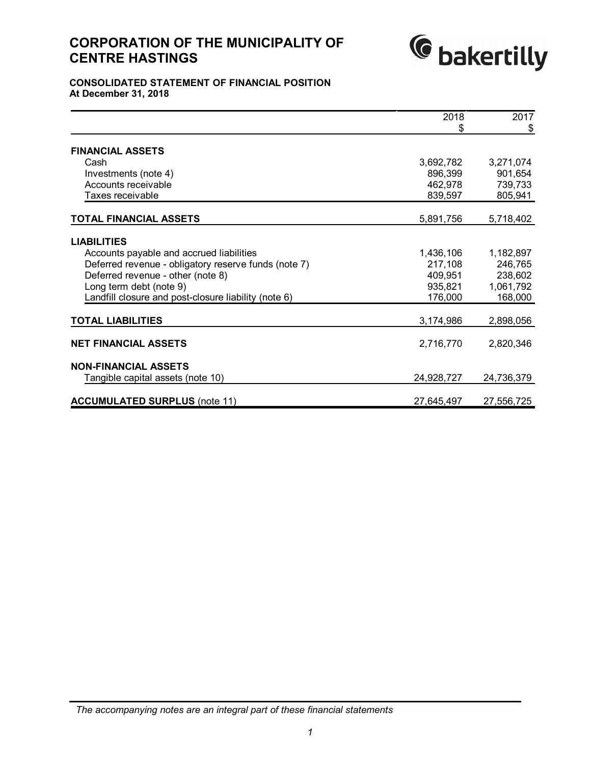

## **CONSOLIDATED STATEMENT OF FINANCIAL POSITION At December 31, 2018**

|                                                      | 2018       | 2017       |
|------------------------------------------------------|------------|------------|
|                                                      | \$         | \$         |
| <b>FINANCIAL ASSETS</b>                              |            |            |
| Cash                                                 | 3,692,782  | 3,271,074  |
| Investments (note 4)                                 | 896,399    | 901,654    |
| Accounts receivable                                  | 462,978    | 739,733    |
| Taxes receivable                                     | 839,597    | 805,941    |
| <b>TOTAL FINANCIAL ASSETS</b>                        | 5,891,756  | 5,718,402  |
| <b>LIABILITIES</b>                                   |            |            |
| Accounts payable and accrued liabilities             | 1,436,106  | 1,182,897  |
| Deferred revenue - obligatory reserve funds (note 7) | 217,108    | 246,765    |
| Deferred revenue - other (note 8)                    | 409,951    | 238,602    |
| Long term debt (note 9)                              | 935,821    | 1,061,792  |
| Landfill closure and post-closure liability (note 6) | 176,000    | 168,000    |
|                                                      |            |            |
| <b>TOTAL LIABILITIES</b>                             | 3,174,986  | 2,898,056  |
| <b>NET FINANCIAL ASSETS</b>                          | 2,716,770  | 2,820,346  |
| <b>NON-FINANCIAL ASSETS</b>                          |            |            |
| Tangible capital assets (note 10)                    | 24,928,727 | 24,736,379 |
| <b>ACCUMULATED SURPLUS (note 11)</b>                 | 27,645,497 | 27,556,725 |

*The accompanying notes are an integral part of these financial statements*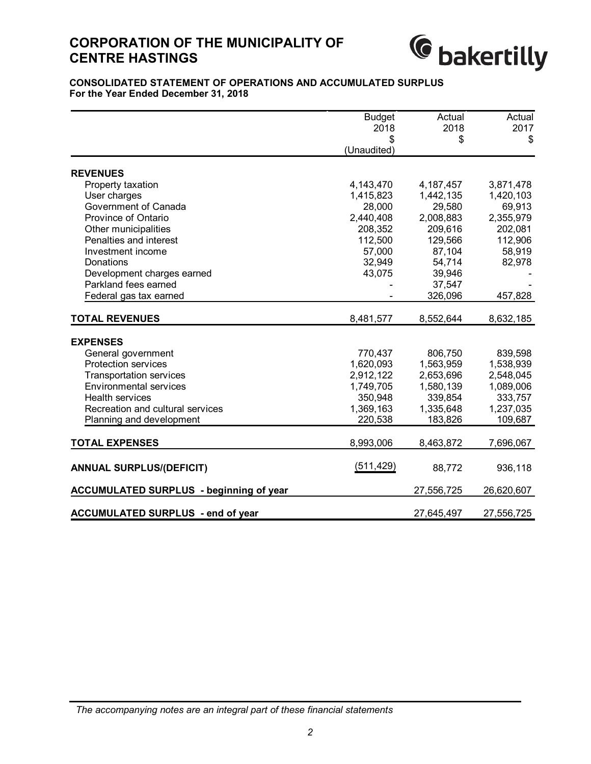

## **CONSOLIDATED STATEMENT OF OPERATIONS AND ACCUMULATED SURPLUS For the Year Ended December 31, 2018**

|                                                | <b>Budget</b> | Actual     | Actual     |
|------------------------------------------------|---------------|------------|------------|
|                                                | 2018<br>\$    | 2018<br>\$ | 2017<br>\$ |
|                                                | (Unaudited)   |            |            |
|                                                |               |            |            |
| <b>REVENUES</b>                                |               |            |            |
| Property taxation                              | 4,143,470     | 4,187,457  | 3,871,478  |
| User charges                                   | 1,415,823     | 1,442,135  | 1,420,103  |
| Government of Canada                           | 28,000        | 29,580     | 69,913     |
| Province of Ontario                            | 2,440,408     | 2,008,883  | 2,355,979  |
| Other municipalities                           | 208,352       | 209,616    | 202,081    |
| Penalties and interest                         | 112,500       | 129,566    | 112,906    |
| Investment income                              | 57,000        | 87,104     | 58,919     |
| Donations                                      | 32,949        | 54,714     | 82,978     |
| Development charges earned                     | 43,075        | 39,946     |            |
| Parkland fees earned                           |               | 37,547     |            |
| Federal gas tax earned                         |               | 326,096    | 457,828    |
|                                                |               |            |            |
| <b>TOTAL REVENUES</b>                          | 8,481,577     | 8,552,644  | 8,632,185  |
| <b>EXPENSES</b>                                |               |            |            |
| General government                             | 770,437       | 806,750    | 839,598    |
| <b>Protection services</b>                     | 1,620,093     | 1,563,959  | 1,538,939  |
| <b>Transportation services</b>                 | 2,912,122     | 2,653,696  | 2,548,045  |
| <b>Environmental services</b>                  | 1,749,705     | 1,580,139  | 1,089,006  |
| <b>Health services</b>                         | 350,948       | 339,854    | 333,757    |
| Recreation and cultural services               | 1,369,163     | 1,335,648  | 1,237,035  |
| Planning and development                       | 220,538       | 183,826    | 109,687    |
|                                                |               |            |            |
| <b>TOTAL EXPENSES</b>                          | 8,993,006     | 8,463,872  | 7,696,067  |
|                                                |               |            |            |
| <b>ANNUAL SURPLUS/(DEFICIT)</b>                | (511, 429)    | 88,772     | 936,118    |
| <b>ACCUMULATED SURPLUS</b> - beginning of year |               | 27,556,725 | 26,620,607 |
| <b>ACCUMULATED SURPLUS - end of year</b>       |               | 27,645,497 | 27,556,725 |
|                                                |               |            |            |

 *The accompanying notes are an integral part of these financial statements*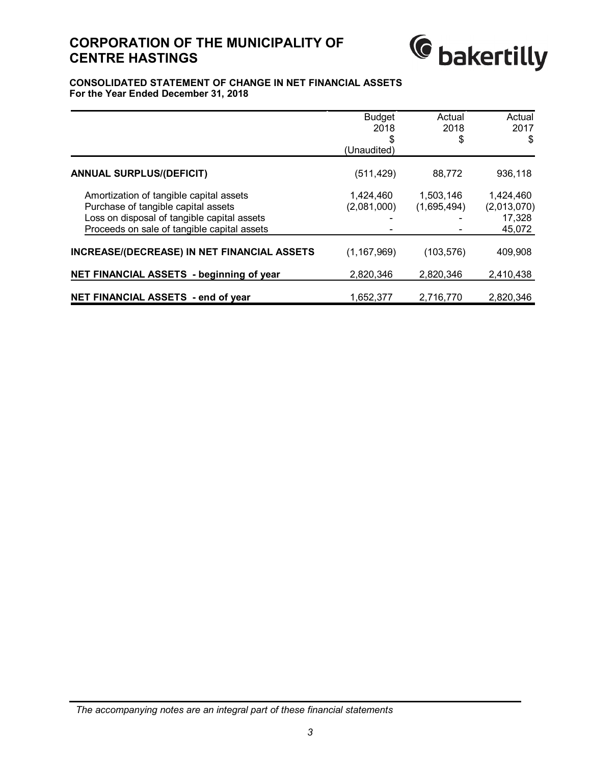

## **CONSOLIDATED STATEMENT OF CHANGE IN NET FINANCIAL ASSETS For the Year Ended December 31, 2018**

|                                                                                                                                                                              | <b>Budget</b><br>2018    | Actual<br>2018           | Actual<br>2017                               |
|------------------------------------------------------------------------------------------------------------------------------------------------------------------------------|--------------------------|--------------------------|----------------------------------------------|
|                                                                                                                                                                              | S<br>(Unaudited)         | \$                       | \$                                           |
| <b>ANNUAL SURPLUS/(DEFICIT)</b>                                                                                                                                              | (511, 429)               | 88,772                   | 936,118                                      |
| Amortization of tangible capital assets<br>Purchase of tangible capital assets<br>Loss on disposal of tangible capital assets<br>Proceeds on sale of tangible capital assets | 1,424,460<br>(2,081,000) | 1,503,146<br>(1,695,494) | 1,424,460<br>(2,013,070)<br>17,328<br>45,072 |
| <b>INCREASE/(DECREASE) IN NET FINANCIAL ASSETS</b>                                                                                                                           | (1, 167, 969)            | (103, 576)               | 409,908                                      |
| NET FINANCIAL ASSETS - beginning of year                                                                                                                                     | 2,820,346                | 2,820,346                | 2,410,438                                    |
| NET FINANCIAL ASSETS - end of year                                                                                                                                           | 1,652,377                | 2,716,770                | 2,820,346                                    |

*The accompanying notes are an integral part of these financial statements*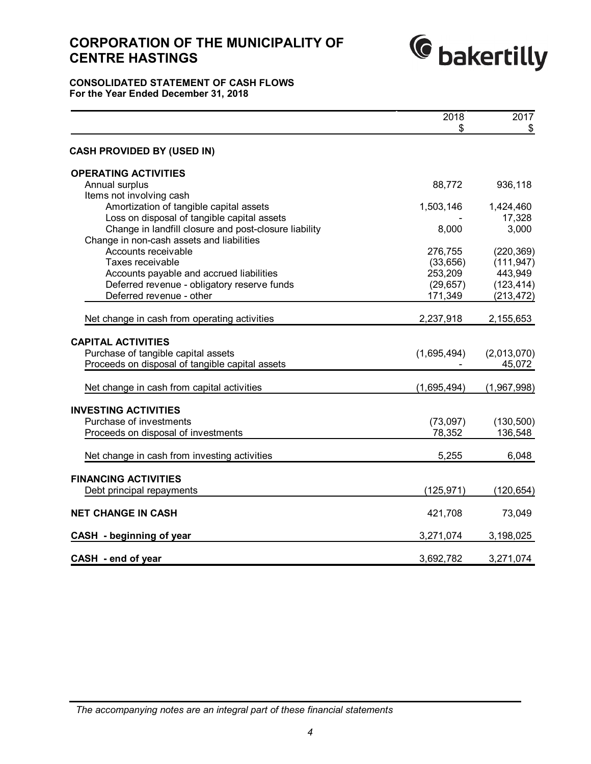

**CONSOLIDATED STATEMENT OF CASH FLOWS For the Year Ended December 31, 2018**

|                                                       | 2018        | 2017        |
|-------------------------------------------------------|-------------|-------------|
|                                                       | \$          | \$          |
| <b>CASH PROVIDED BY (USED IN)</b>                     |             |             |
| <b>OPERATING ACTIVITIES</b>                           |             |             |
| Annual surplus                                        | 88,772      | 936,118     |
| Items not involving cash                              |             |             |
| Amortization of tangible capital assets               | 1,503,146   | 1,424,460   |
| Loss on disposal of tangible capital assets           |             | 17,328      |
| Change in landfill closure and post-closure liability | 8,000       | 3,000       |
| Change in non-cash assets and liabilities             |             |             |
| Accounts receivable                                   | 276,755     | (220, 369)  |
| Taxes receivable                                      | (33,656)    | (111, 947)  |
| Accounts payable and accrued liabilities              | 253,209     | 443,949     |
| Deferred revenue - obligatory reserve funds           | (29, 657)   | (123, 414)  |
| Deferred revenue - other                              | 171,349     | (213, 472)  |
|                                                       |             |             |
| Net change in cash from operating activities          | 2,237,918   | 2,155,653   |
|                                                       |             |             |
| <b>CAPITAL ACTIVITIES</b>                             |             |             |
| Purchase of tangible capital assets                   | (1,695,494) | (2,013,070) |
| Proceeds on disposal of tangible capital assets       |             | 45,072      |
| Net change in cash from capital activities            | (1,695,494) | (1,967,998) |
| <b>INVESTING ACTIVITIES</b>                           |             |             |
| Purchase of investments                               | (73,097)    | (130, 500)  |
| Proceeds on disposal of investments                   | 78,352      | 136,548     |
|                                                       |             |             |
| Net change in cash from investing activities          | 5,255       | 6,048       |
| <b>FINANCING ACTIVITIES</b>                           |             |             |
| Debt principal repayments                             | (125, 971)  | (120, 654)  |
|                                                       |             |             |
| <b>NET CHANGE IN CASH</b>                             | 421,708     | 73,049      |
| <b>CASH</b> - beginning of year                       | 3,271,074   | 3,198,025   |
| CASH - end of year                                    | 3,692,782   | 3,271,074   |

 *The accompanying notes are an integral part of these financial statements*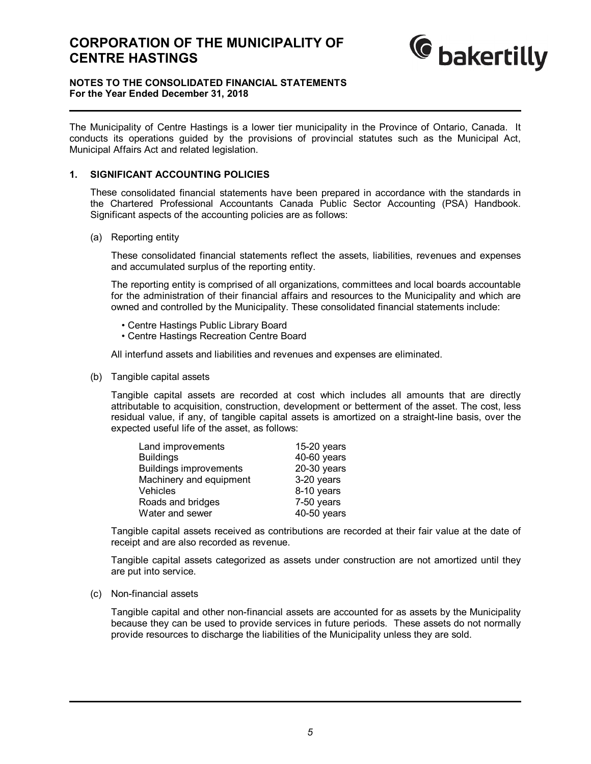

### **NOTES TO THE CONSOLIDATED FINANCIAL STATEMENTS For the Year Ended December 31, 2018**

The Municipality of Centre Hastings is a lower tier municipality in the Province of Ontario, Canada. It conducts its operations guided by the provisions of provincial statutes such as the Municipal Act, Municipal Affairs Act and related legislation.

### **1. SIGNIFICANT ACCOUNTING POLICIES**

These consolidated financial statements have been prepared in accordance with the standards in the Chartered Professional Accountants Canada Public Sector Accounting (PSA) Handbook. Significant aspects of the accounting policies are as follows:

(a) Reporting entity

These consolidated financial statements reflect the assets, liabilities, revenues and expenses and accumulated surplus of the reporting entity.

The reporting entity is comprised of all organizations, committees and local boards accountable for the administration of their financial affairs and resources to the Municipality and which are owned and controlled by the Municipality. These consolidated financial statements include:

- Centre Hastings Public Library Board
- Centre Hastings Recreation Centre Board

All interfund assets and liabilities and revenues and expenses are eliminated.

(b) Tangible capital assets

Tangible capital assets are recorded at cost which includes all amounts that are directly attributable to acquisition, construction, development or betterment of the asset. The cost, less residual value, if any, of tangible capital assets is amortized on a straight-line basis, over the expected useful life of the asset, as follows:

| Land improvements             | $15-20$ years |
|-------------------------------|---------------|
| <b>Buildings</b>              | 40-60 years   |
| <b>Buildings improvements</b> | $20-30$ years |
| Machinery and equipment       | 3-20 years    |
| Vehicles                      | 8-10 years    |
| Roads and bridges             | 7-50 years    |
| Water and sewer               | 40-50 years   |

Tangible capital assets received as contributions are recorded at their fair value at the date of receipt and are also recorded as revenue.

Tangible capital assets categorized as assets under construction are not amortized until they are put into service.

(c) Non-financial assets

Tangible capital and other non-financial assets are accounted for as assets by the Municipality because they can be used to provide services in future periods. These assets do not normally provide resources to discharge the liabilities of the Municipality unless they are sold.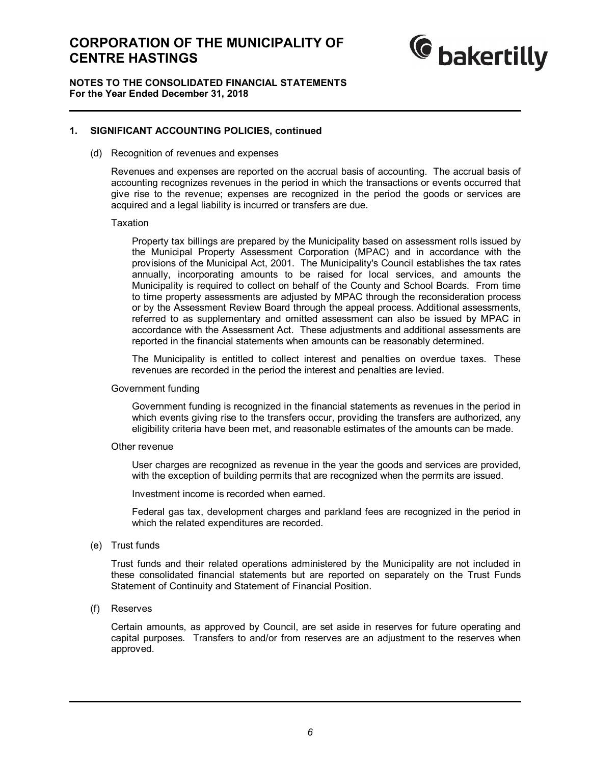

### **NOTES TO THE CONSOLIDATED FINANCIAL STATEMENTS For the Year Ended December 31, 2018**

### **1. SIGNIFICANT ACCOUNTING POLICIES, continued**

(d) Recognition of revenues and expenses

Revenues and expenses are reported on the accrual basis of accounting. The accrual basis of accounting recognizes revenues in the period in which the transactions or events occurred that give rise to the revenue; expenses are recognized in the period the goods or services are acquired and a legal liability is incurred or transfers are due.

#### **Taxation**

Property tax billings are prepared by the Municipality based on assessment rolls issued by the Municipal Property Assessment Corporation (MPAC) and in accordance with the provisions of the Municipal Act, 2001. The Municipality's Council establishes the tax rates annually, incorporating amounts to be raised for local services, and amounts the Municipality is required to collect on behalf of the County and School Boards. From time to time property assessments are adjusted by MPAC through the reconsideration process or by the Assessment Review Board through the appeal process. Additional assessments, referred to as supplementary and omitted assessment can also be issued by MPAC in accordance with the Assessment Act. These adjustments and additional assessments are reported in the financial statements when amounts can be reasonably determined.

The Municipality is entitled to collect interest and penalties on overdue taxes. These revenues are recorded in the period the interest and penalties are levied.

#### Government funding

Government funding is recognized in the financial statements as revenues in the period in which events giving rise to the transfers occur, providing the transfers are authorized, any eligibility criteria have been met, and reasonable estimates of the amounts can be made.

#### Other revenue

User charges are recognized as revenue in the year the goods and services are provided, with the exception of building permits that are recognized when the permits are issued.

Investment income is recorded when earned.

Federal gas tax, development charges and parkland fees are recognized in the period in which the related expenditures are recorded.

(e) Trust funds

Trust funds and their related operations administered by the Municipality are not included in these consolidated financial statements but are reported on separately on the Trust Funds Statement of Continuity and Statement of Financial Position.

(f) Reserves

Certain amounts, as approved by Council, are set aside in reserves for future operating and capital purposes. Transfers to and/or from reserves are an adjustment to the reserves when approved.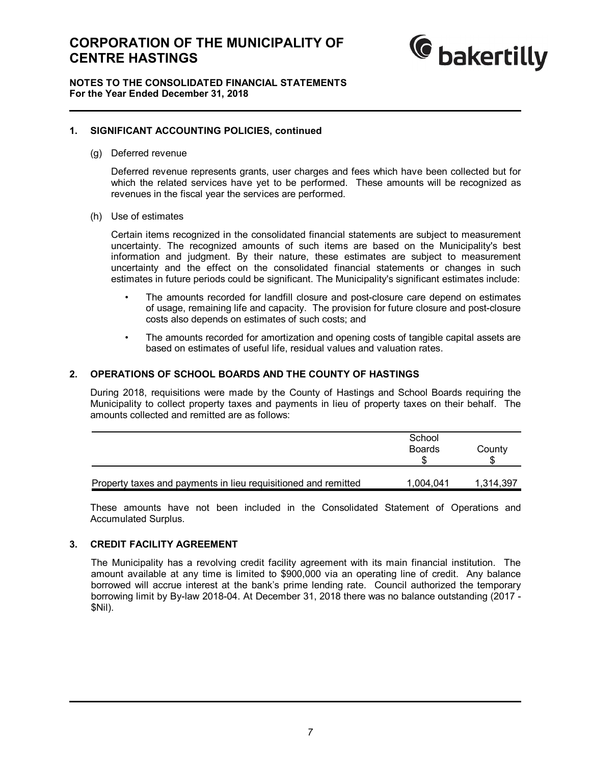

### **NOTES TO THE CONSOLIDATED FINANCIAL STATEMENTS For the Year Ended December 31, 2018**

### **1. SIGNIFICANT ACCOUNTING POLICIES, continued**

(g) Deferred revenue

Deferred revenue represents grants, user charges and fees which have been collected but for which the related services have yet to be performed. These amounts will be recognized as revenues in the fiscal year the services are performed.

(h) Use of estimates

Certain items recognized in the consolidated financial statements are subject to measurement uncertainty. The recognized amounts of such items are based on the Municipality's best information and judgment. By their nature, these estimates are subject to measurement uncertainty and the effect on the consolidated financial statements or changes in such estimates in future periods could be significant. The Municipality's significant estimates include:

- The amounts recorded for landfill closure and post-closure care depend on estimates of usage, remaining life and capacity. The provision for future closure and post-closure costs also depends on estimates of such costs; and
- The amounts recorded for amortization and opening costs of tangible capital assets are based on estimates of useful life, residual values and valuation rates.

### **2. OPERATIONS OF SCHOOL BOARDS AND THE COUNTY OF HASTINGS**

During 2018, requisitions were made by the County of Hastings and School Boards requiring the Municipality to collect property taxes and payments in lieu of property taxes on their behalf. The amounts collected and remitted are as follows:

|                                                                | School<br><b>Boards</b> | County    |
|----------------------------------------------------------------|-------------------------|-----------|
| Property taxes and payments in lieu requisitioned and remitted | 1,004,041               | 1.314.397 |

These amounts have not been included in the Consolidated Statement of Operations and Accumulated Surplus.

#### **3. CREDIT FACILITY AGREEMENT**

The Municipality has a revolving credit facility agreement with its main financial institution. The amount available at any time is limited to \$900,000 via an operating line of credit. Any balance borrowed will accrue interest at the bank's prime lending rate. Council authorized the temporary borrowing limit by By-law 2018-04. At December 31, 2018 there was no balance outstanding (2017 - \$Nil).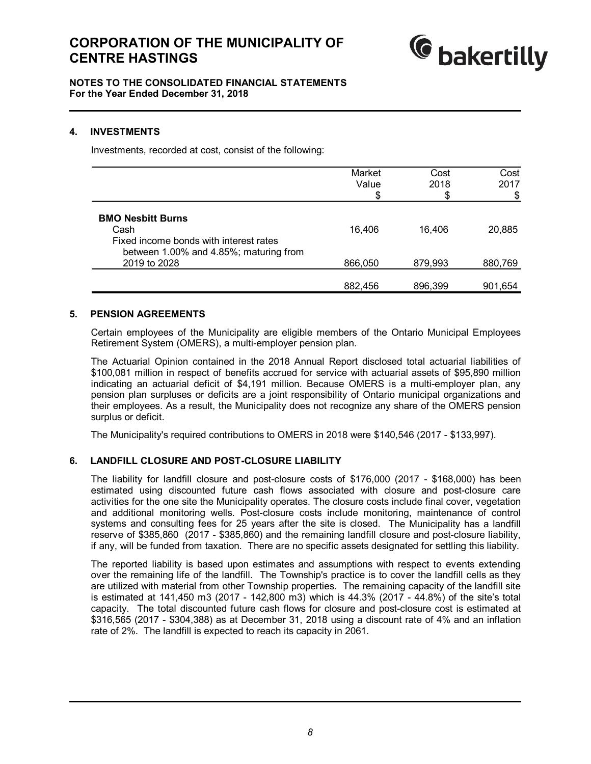

### **NOTES TO THE CONSOLIDATED FINANCIAL STATEMENTS For the Year Ended December 31, 2018**

### **4. INVESTMENTS**

Investments, recorded at cost, consist of the following:

|                                                                            | Market<br>Value<br>S | Cost<br>2018<br>\$ | Cost<br>2017<br>S |
|----------------------------------------------------------------------------|----------------------|--------------------|-------------------|
| <b>BMO Nesbitt Burns</b><br>Cash<br>Fixed income bonds with interest rates | 16,406               | 16.406             | 20,885            |
| between 1.00% and 4.85%; maturing from<br>2019 to 2028                     | 866,050              | 879,993            | 880,769           |
|                                                                            | 882,456              | 896,399            | 901,654           |

## **5. PENSION AGREEMENTS**

Certain employees of the Municipality are eligible members of the Ontario Municipal Employees Retirement System (OMERS), a multi-employer pension plan.

The Actuarial Opinion contained in the 2018 Annual Report disclosed total actuarial liabilities of \$100,081 million in respect of benefits accrued for service with actuarial assets of \$95,890 million indicating an actuarial deficit of \$4,191 million. Because OMERS is a multi-employer plan, any pension plan surpluses or deficits are a joint responsibility of Ontario municipal organizations and their employees. As a result, the Municipality does not recognize any share of the OMERS pension surplus or deficit.

The Municipality's required contributions to OMERS in 2018 were \$140,546 (2017 - \$133,997).

## **6. LANDFILL CLOSURE AND POST-CLOSURE LIABILITY**

The liability for landfill closure and post-closure costs of \$176,000 (2017 - \$168,000) has been estimated using discounted future cash flows associated with closure and post-closure care activities for the one site the Municipality operates. The closure costs include final cover, vegetation and additional monitoring wells. Post-closure costs include monitoring, maintenance of control systems and consulting fees for 25 years after the site is closed. The Municipality has a landfill reserve of \$385,860 (2017 - \$385,860) and the remaining landfill closure and post-closure liability, if any, will be funded from taxation. There are no specific assets designated for settling this liability.

The reported liability is based upon estimates and assumptions with respect to events extending over the remaining life of the landfill. The Township's practice is to cover the landfill cells as they are utilized with material from other Township properties. The remaining capacity of the landfill site is estimated at 141,450 m3 (2017 - 142,800 m3) which is 44.3% (2017 - 44.8%) of the site's total capacity. The total discounted future cash flows for closure and post-closure cost is estimated at \$316,565 (2017 - \$304,388) as at December 31, 2018 using a discount rate of 4% and an inflation rate of 2%. The landfill is expected to reach its capacity in 2061.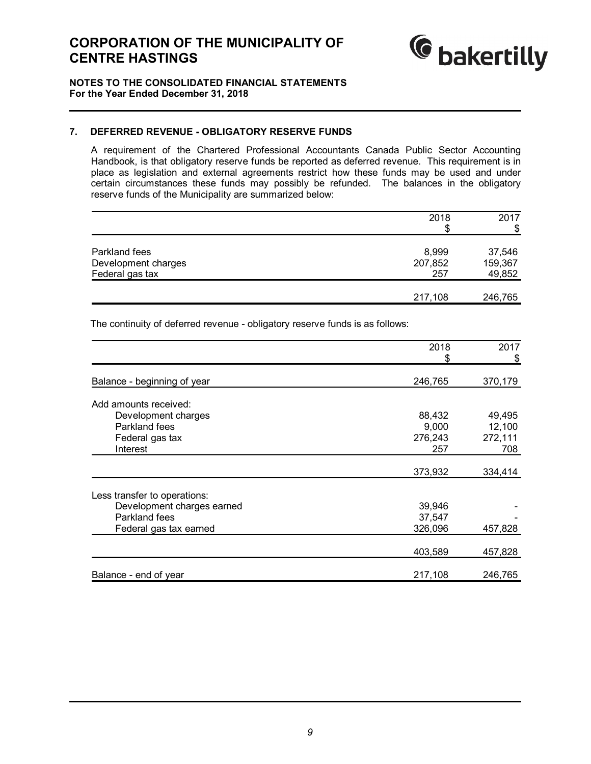

### **NOTES TO THE CONSOLIDATED FINANCIAL STATEMENTS For the Year Ended December 31, 2018**

### **7. DEFERRED REVENUE - OBLIGATORY RESERVE FUNDS**

A requirement of the Chartered Professional Accountants Canada Public Sector Accounting Handbook, is that obligatory reserve funds be reported as deferred revenue. This requirement is in place as legislation and external agreements restrict how these funds may be used and under certain circumstances these funds may possibly be refunded. The balances in the obligatory reserve funds of the Municipality are summarized below:

|                     | 2018    | 2017    |
|---------------------|---------|---------|
|                     |         | \$      |
| Parkland fees       | 8,999   | 37,546  |
| Development charges | 207,852 | 159,367 |
| Federal gas tax     | 257     | 49,852  |
|                     |         |         |
|                     | 217,108 | 246,765 |

The continuity of deferred revenue - obligatory reserve funds is as follows:

|                              | 2018    | 2017    |
|------------------------------|---------|---------|
|                              | S       | \$      |
| Balance - beginning of year  | 246,765 | 370,179 |
| Add amounts received:        |         |         |
| Development charges          | 88,432  | 49,495  |
| Parkland fees                | 9,000   | 12,100  |
| Federal gas tax              | 276,243 | 272,111 |
| Interest                     | 257     | 708     |
|                              | 373,932 | 334,414 |
|                              |         |         |
| Less transfer to operations: |         |         |
| Development charges earned   | 39,946  |         |
| Parkland fees                | 37,547  |         |
| Federal gas tax earned       | 326,096 | 457,828 |
|                              | 403,589 | 457,828 |
| Balance - end of year        | 217,108 | 246,765 |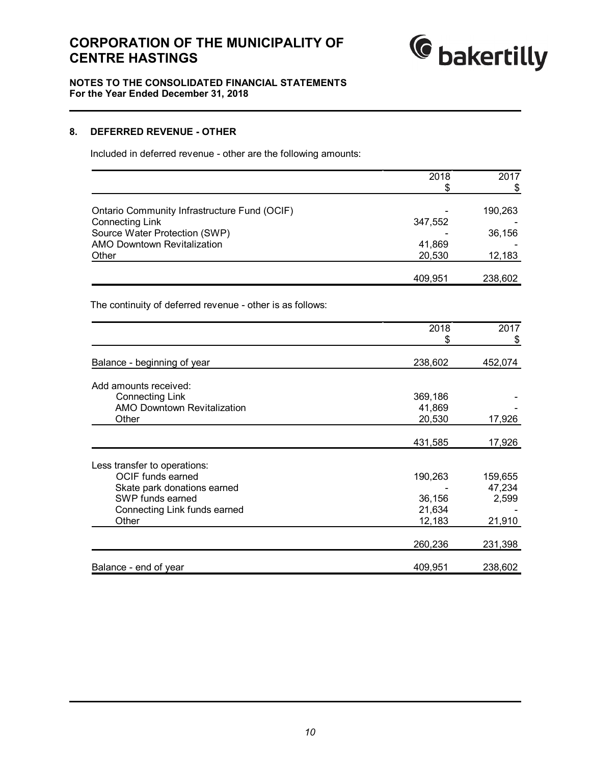

## **NOTES TO THE CONSOLIDATED FINANCIAL STATEMENTS For the Year Ended December 31, 2018**

#### **8. DEFERRED REVENUE - OTHER**

Included in deferred revenue - other are the following amounts:

|                                                           | 2018    | 2017            |
|-----------------------------------------------------------|---------|-----------------|
|                                                           | \$      | \$              |
| Ontario Community Infrastructure Fund (OCIF)              |         | 190,263         |
| <b>Connecting Link</b>                                    | 347,552 |                 |
| Source Water Protection (SWP)                             |         | 36,156          |
| <b>AMO Downtown Revitalization</b>                        | 41,869  |                 |
| Other                                                     | 20,530  | 12,183          |
|                                                           | 409,951 | 238,602         |
| The continuity of deferred revenue - other is as follows: |         |                 |
|                                                           | 2018    | 2017            |
|                                                           | \$      | \$              |
| Balance - beginning of year                               | 238,602 | 452,074         |
| Add amounts received:                                     |         |                 |
| <b>Connecting Link</b>                                    | 369,186 |                 |
| <b>AMO Downtown Revitalization</b>                        | 41,869  |                 |
| Other                                                     | 20,530  | 17,926          |
|                                                           | 431,585 | 17,926          |
|                                                           |         |                 |
| Less transfer to operations:                              |         |                 |
| OCIF funds earned                                         | 190,263 | 159,655         |
| Skate park donations earned<br>SWP funds earned           | 36,156  | 47,234<br>2,599 |
| Connecting Link funds earned                              | 21,634  |                 |
| Other                                                     | 12,183  | 21,910          |
|                                                           |         |                 |
|                                                           | 260,236 | 231,398         |
| Balance - end of year                                     | 409,951 | 238,602         |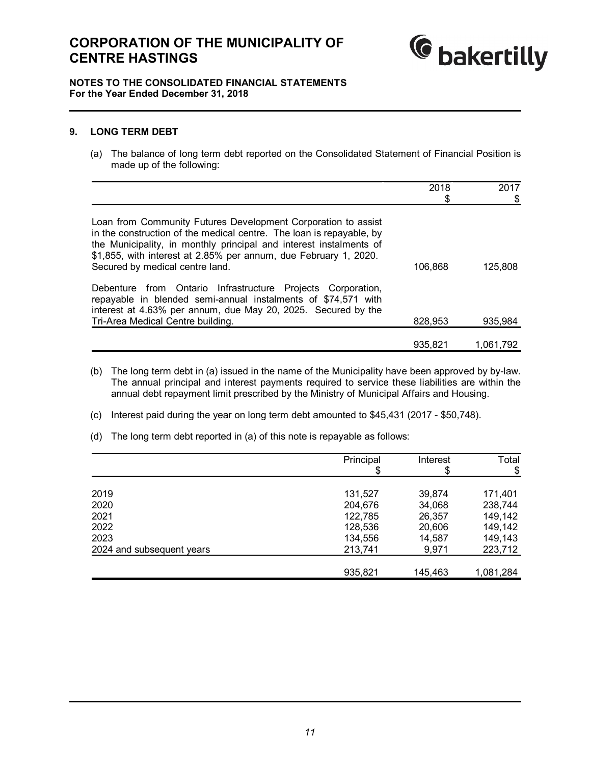

### **NOTES TO THE CONSOLIDATED FINANCIAL STATEMENTS For the Year Ended December 31, 2018**

### **9. LONG TERM DEBT**

(a) The balance of long term debt reported on the Consolidated Statement of Financial Position is made up of the following:

|                                                                                                                                                                                                                                                                                                                    | 2018    | 2017      |
|--------------------------------------------------------------------------------------------------------------------------------------------------------------------------------------------------------------------------------------------------------------------------------------------------------------------|---------|-----------|
|                                                                                                                                                                                                                                                                                                                    | \$      |           |
| Loan from Community Futures Development Corporation to assist<br>in the construction of the medical centre. The loan is repayable, by<br>the Municipality, in monthly principal and interest instalments of<br>\$1,855, with interest at 2.85% per annum, due February 1, 2020.<br>Secured by medical centre land. | 106.868 | 125,808   |
| Debenture from Ontario Infrastructure Projects Corporation,<br>repayable in blended semi-annual instalments of \$74,571 with<br>interest at 4.63% per annum, due May 20, 2025. Secured by the<br>Tri-Area Medical Centre building.                                                                                 | 828,953 | 935,984   |
|                                                                                                                                                                                                                                                                                                                    | 935.821 | 1,061,792 |

- (b) The long term debt in (a) issued in the name of the Municipality have been approved by by-law. The annual principal and interest payments required to service these liabilities are within the annual debt repayment limit prescribed by the Ministry of Municipal Affairs and Housing.
- (c) Interest paid during the year on long term debt amounted to \$45,431 (2017 \$50,748).
- (d) The long term debt reported in (a) of this note is repayable as follows:

|                           | Principal | Interest<br>\$ | Total<br>\$ |
|---------------------------|-----------|----------------|-------------|
|                           |           |                |             |
| 2019                      | 131,527   | 39,874         | 171,401     |
| 2020                      | 204,676   | 34,068         | 238,744     |
| 2021                      | 122,785   | 26,357         | 149,142     |
| 2022                      | 128,536   | 20,606         | 149,142     |
| 2023                      | 134,556   | 14,587         | 149,143     |
| 2024 and subsequent years | 213,741   | 9,971          | 223,712     |
|                           | 935,821   | 145,463        | 1,081,284   |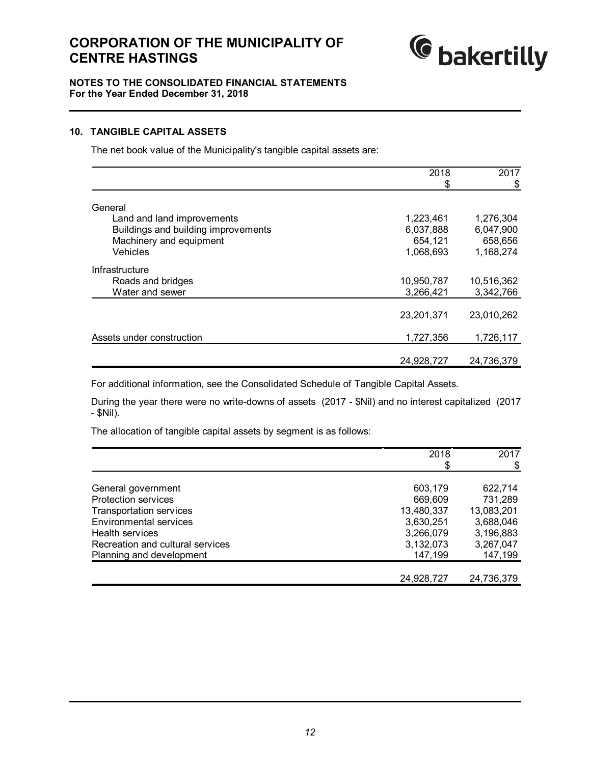

### **NOTES TO THE CONSOLIDATED FINANCIAL STATEMENTS For the Year Ended December 31, 2018**

### **10. TANGIBLE CAPITAL ASSETS**

The net book value of the Municipality's tangible capital assets are:

|                                     | 2018       | 2017       |
|-------------------------------------|------------|------------|
|                                     | \$         | \$         |
| General                             |            |            |
| Land and land improvements          | 1,223,461  | 1,276,304  |
| Buildings and building improvements | 6,037,888  | 6,047,900  |
| Machinery and equipment             | 654,121    | 658,656    |
| Vehicles                            | 1,068,693  | 1,168,274  |
| Infrastructure                      |            |            |
| Roads and bridges                   | 10,950,787 | 10,516,362 |
| Water and sewer                     | 3,266,421  | 3,342,766  |
|                                     | 23,201,371 | 23,010,262 |
| Assets under construction           | 1,727,356  | 1,726,117  |
|                                     | 24,928,727 | 24,736,379 |

For additional information, see the Consolidated Schedule of Tangible Capital Assets.

During the year there were no write-downs of assets (2017 - \$Nil) and no interest capitalized (2017 - \$Nil).

The allocation of tangible capital assets by segment is as follows:

|                                  | 2018       | 2017       |
|----------------------------------|------------|------------|
|                                  | \$         | \$         |
|                                  |            |            |
| General government               | 603,179    | 622,714    |
| <b>Protection services</b>       | 669,609    | 731,289    |
| <b>Transportation services</b>   | 13,480,337 | 13,083,201 |
| <b>Environmental services</b>    | 3,630,251  | 3,688,046  |
| <b>Health services</b>           | 3,266,079  | 3,196,883  |
| Recreation and cultural services | 3,132,073  | 3,267,047  |
| Planning and development         | 147,199    | 147,199    |
|                                  |            |            |
|                                  | 24,928,727 | 24,736,379 |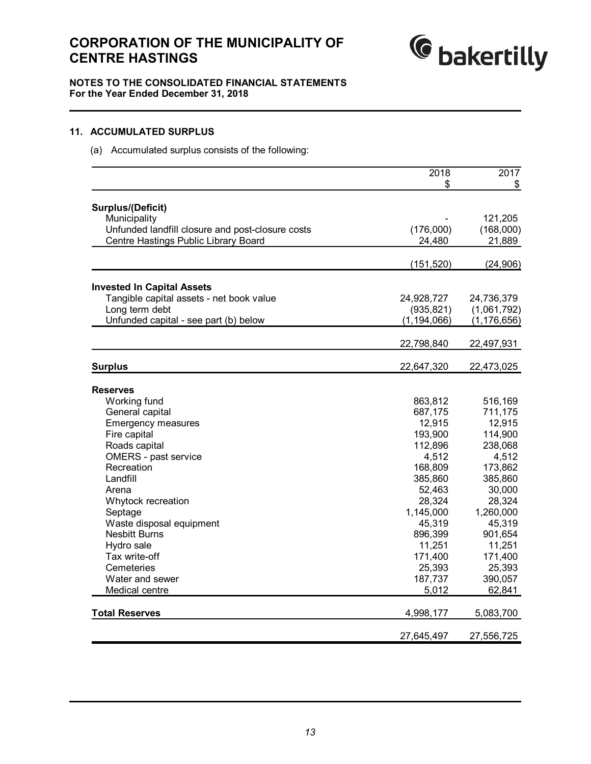

## **NOTES TO THE CONSOLIDATED FINANCIAL STATEMENTS For the Year Ended December 31, 2018**

### **11. ACCUMULATED SURPLUS**

(a) Accumulated surplus consists of the following:

|                                                  | 2018          | 2017          |
|--------------------------------------------------|---------------|---------------|
|                                                  | \$            | \$            |
|                                                  |               |               |
| <b>Surplus/(Deficit)</b><br>Municipality         |               | 121,205       |
| Unfunded landfill closure and post-closure costs | (176,000)     | (168,000)     |
| Centre Hastings Public Library Board             | 24,480        | 21,889        |
|                                                  |               |               |
|                                                  | (151, 520)    | (24, 906)     |
| <b>Invested In Capital Assets</b>                |               |               |
| Tangible capital assets - net book value         | 24,928,727    | 24,736,379    |
| Long term debt                                   | (935, 821)    | (1,061,792)   |
| Unfunded capital - see part (b) below            | (1, 194, 066) | (1, 176, 656) |
|                                                  | 22,798,840    | 22,497,931    |
| <b>Surplus</b>                                   | 22,647,320    | 22,473,025    |
|                                                  |               |               |
| Reserves                                         |               |               |
| Working fund                                     | 863,812       | 516,169       |
| General capital                                  | 687,175       | 711,175       |
| <b>Emergency measures</b>                        | 12,915        | 12,915        |
| Fire capital                                     | 193,900       | 114,900       |
| Roads capital                                    | 112,896       | 238,068       |
| <b>OMERS</b> - past service                      | 4,512         | 4,512         |
| Recreation                                       | 168,809       | 173,862       |
| Landfill                                         | 385,860       | 385,860       |
| Arena                                            | 52,463        | 30,000        |
| Whytock recreation                               | 28,324        | 28,324        |
| Septage                                          | 1,145,000     | 1,260,000     |
| Waste disposal equipment                         | 45,319        | 45,319        |
| <b>Nesbitt Burns</b>                             | 896,399       | 901,654       |
| Hydro sale                                       | 11,251        | 11,251        |
| Tax write-off                                    | 171,400       | 171,400       |
| Cemeteries                                       | 25,393        | 25,393        |
| Water and sewer                                  | 187,737       | 390,057       |
| Medical centre                                   | 5,012         | 62,841        |
| <b>Total Reserves</b>                            | 4,998,177     | 5,083,700     |
|                                                  | 27,645,497    | 27,556,725    |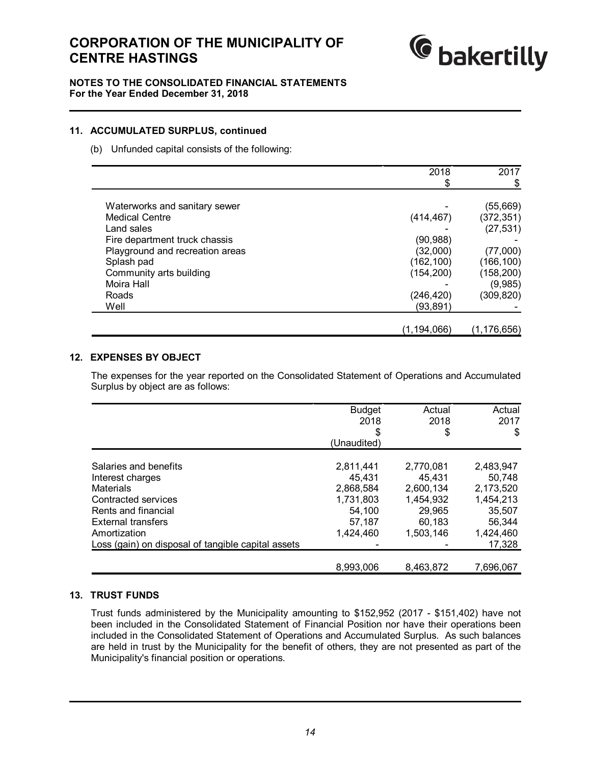

### **NOTES TO THE CONSOLIDATED FINANCIAL STATEMENTS For the Year Ended December 31, 2018**

### **11. ACCUMULATED SURPLUS, continued**

(b) Unfunded capital consists of the following:

|                                 | 2018          | 2017          |
|---------------------------------|---------------|---------------|
|                                 |               |               |
|                                 |               |               |
| Waterworks and sanitary sewer   |               | (55,669)      |
| <b>Medical Centre</b>           | (414, 467)    | (372,351)     |
| Land sales                      |               | (27, 531)     |
| Fire department truck chassis   | (90,988)      |               |
| Playground and recreation areas | (32,000)      | (77,000)      |
| Splash pad                      | (162, 100)    | (166,100)     |
| Community arts building         | (154, 200)    | (158, 200)    |
| <b>Moira Hall</b>               |               | (9,985)       |
| Roads                           | (246, 420)    | (309,820)     |
| Well                            | (93,891)      |               |
|                                 |               |               |
|                                 | (1, 194, 066) | (1, 176, 656) |

## **12. EXPENSES BY OBJECT**

The expenses for the year reported on the Consolidated Statement of Operations and Accumulated Surplus by object are as follows:

|                                                    | <b>Budget</b><br>2018 | Actual<br>2018 | Actual<br>2017 |
|----------------------------------------------------|-----------------------|----------------|----------------|
|                                                    | S                     | \$             | \$             |
|                                                    | (Unaudited)           |                |                |
|                                                    |                       |                |                |
| Salaries and benefits                              | 2.811.441             | 2.770.081      | 2,483,947      |
| Interest charges                                   | 45,431                | 45,431         | 50,748         |
| <b>Materials</b>                                   | 2,868,584             | 2,600,134      | 2,173,520      |
| Contracted services                                | 1,731,803             | 1,454,932      | 1,454,213      |
| Rents and financial                                | 54,100                | 29,965         | 35,507         |
| External transfers                                 | 57.187                | 60.183         | 56,344         |
| Amortization                                       | 1,424,460             | 1,503,146      | 1,424,460      |
| Loss (gain) on disposal of tangible capital assets |                       |                | 17,328         |
|                                                    |                       |                |                |
|                                                    | 8,993,006             | 8,463,872      | 7,696,067      |

## **13. TRUST FUNDS**

Trust funds administered by the Municipality amounting to \$152,952 (2017 - \$151,402) have not been included in the Consolidated Statement of Financial Position nor have their operations been included in the Consolidated Statement of Operations and Accumulated Surplus. As such balances are held in trust by the Municipality for the benefit of others, they are not presented as part of the Municipality's financial position or operations.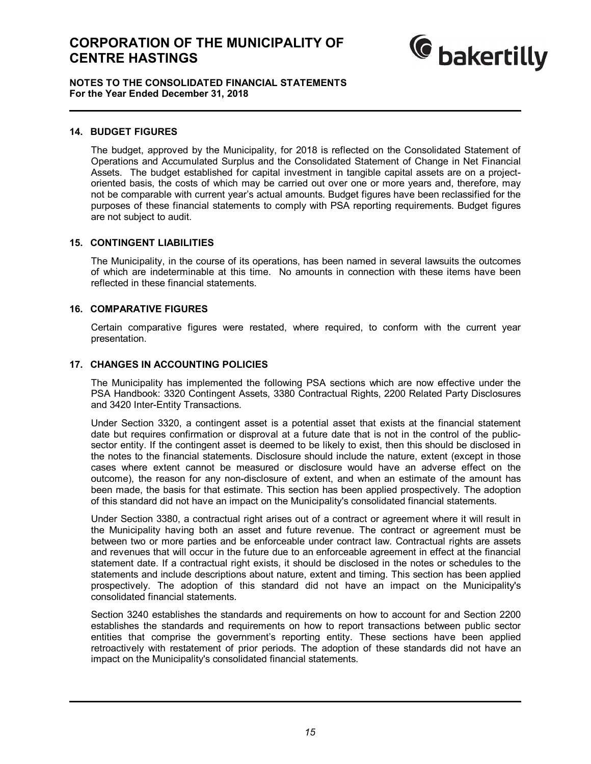

### **NOTES TO THE CONSOLIDATED FINANCIAL STATEMENTS For the Year Ended December 31, 2018**

### **14. BUDGET FIGURES**

The budget, approved by the Municipality, for 2018 is reflected on the Consolidated Statement of Operations and Accumulated Surplus and the Consolidated Statement of Change in Net Financial Assets. The budget established for capital investment in tangible capital assets are on a projectoriented basis, the costs of which may be carried out over one or more years and, therefore, may not be comparable with current year's actual amounts. Budget figures have been reclassified for the purposes of these financial statements to comply with PSA reporting requirements. Budget figures are not subject to audit.

#### **15. CONTINGENT LIABILITIES**

The Municipality, in the course of its operations, has been named in several lawsuits the outcomes of which are indeterminable at this time. No amounts in connection with these items have been reflected in these financial statements.

### **16. COMPARATIVE FIGURES**

Certain comparative figures were restated, where required, to conform with the current year presentation.

### **17. CHANGES IN ACCOUNTING POLICIES**

The Municipality has implemented the following PSA sections which are now effective under the PSA Handbook: 3320 Contingent Assets, 3380 Contractual Rights, 2200 Related Party Disclosures and 3420 Inter-Entity Transactions.

Under Section 3320, a contingent asset is a potential asset that exists at the financial statement date but requires confirmation or disproval at a future date that is not in the control of the publicsector entity. If the contingent asset is deemed to be likely to exist, then this should be disclosed in the notes to the financial statements. Disclosure should include the nature, extent (except in those cases where extent cannot be measured or disclosure would have an adverse effect on the outcome), the reason for any non-disclosure of extent, and when an estimate of the amount has been made, the basis for that estimate. This section has been applied prospectively. The adoption of this standard did not have an impact on the Municipality's consolidated financial statements.

Under Section 3380, a contractual right arises out of a contract or agreement where it will result in the Municipality having both an asset and future revenue. The contract or agreement must be between two or more parties and be enforceable under contract law. Contractual rights are assets and revenues that will occur in the future due to an enforceable agreement in effect at the financial statement date. If a contractual right exists, it should be disclosed in the notes or schedules to the statements and include descriptions about nature, extent and timing. This section has been applied prospectively. The adoption of this standard did not have an impact on the Municipality's consolidated financial statements.

Section 3240 establishes the standards and requirements on how to account for and Section 2200 establishes the standards and requirements on how to report transactions between public sector entities that comprise the government's reporting entity. These sections have been applied retroactively with restatement of prior periods. The adoption of these standards did not have an impact on the Municipality's consolidated financial statements.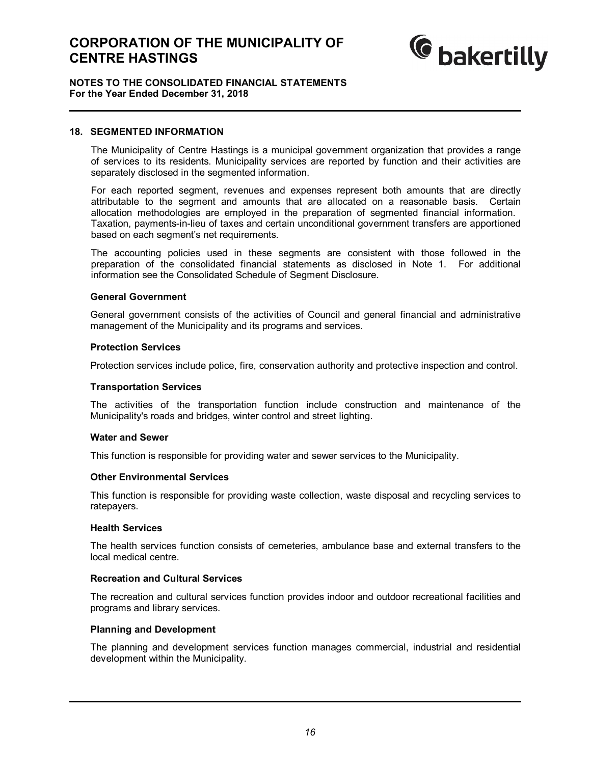

#### **NOTES TO THE CONSOLIDATED FINANCIAL STATEMENTS For the Year Ended December 31, 2018**

### **18. SEGMENTED INFORMATION**

The Municipality of Centre Hastings is a municipal government organization that provides a range of services to its residents. Municipality services are reported by function and their activities are separately disclosed in the segmented information.

For each reported segment, revenues and expenses represent both amounts that are directly attributable to the segment and amounts that are allocated on a reasonable basis. Certain allocation methodologies are employed in the preparation of segmented financial information. Taxation, payments-in-lieu of taxes and certain unconditional government transfers are apportioned based on each segment's net requirements.

The accounting policies used in these segments are consistent with those followed in the preparation of the consolidated financial statements as disclosed in Note 1. For additional information see the Consolidated Schedule of Segment Disclosure.

#### **General Government**

General government consists of the activities of Council and general financial and administrative management of the Municipality and its programs and services.

### **Protection Services**

Protection services include police, fire, conservation authority and protective inspection and control.

#### **Transportation Services**

The activities of the transportation function include construction and maintenance of the Municipality's roads and bridges, winter control and street lighting.

#### **Water and Sewer**

This function is responsible for providing water and sewer services to the Municipality.

#### **Other Environmental Services**

This function is responsible for providing waste collection, waste disposal and recycling services to ratepayers.

#### **Health Services**

The health services function consists of cemeteries, ambulance base and external transfers to the local medical centre.

### **Recreation and Cultural Services**

The recreation and cultural services function provides indoor and outdoor recreational facilities and programs and library services.

#### **Planning and Development**

The planning and development services function manages commercial, industrial and residential development within the Municipality.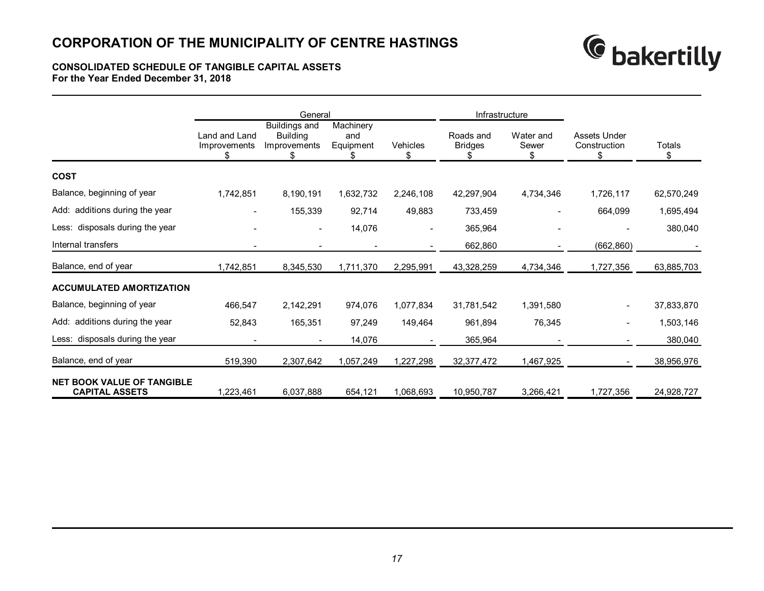

#### **CONSOLIDATED SCHEDULE OF TANGIBLE CAPITAL ASSETS For the Year Ended December 31, 2018**

|                                                            |                                      | General                                                 |                               |                       | Infrastructure              |                           |                              |              |
|------------------------------------------------------------|--------------------------------------|---------------------------------------------------------|-------------------------------|-----------------------|-----------------------------|---------------------------|------------------------------|--------------|
|                                                            | Land and Land<br>Improvements<br>\$. | <b>Buildings and</b><br><b>Building</b><br>Improvements | Machinery<br>and<br>Equipment | <b>Vehicles</b><br>S. | Roads and<br><b>Bridges</b> | Water and<br>Sewer<br>\$. | Assets Under<br>Construction | Totals<br>\$ |
| <b>COST</b>                                                |                                      |                                                         |                               |                       |                             |                           |                              |              |
| Balance, beginning of year                                 | 1,742,851                            | 8,190,191                                               | 1,632,732                     | 2,246,108             | 42,297,904                  | 4,734,346                 | 1,726,117                    | 62,570,249   |
| Add: additions during the year                             | $\blacksquare$                       | 155,339                                                 | 92,714                        | 49,883                | 733,459                     | $\overline{a}$            | 664,099                      | 1,695,494    |
| Less: disposals during the year                            |                                      |                                                         | 14,076                        |                       | 365,964                     |                           |                              | 380,040      |
| Internal transfers                                         |                                      |                                                         |                               |                       | 662,860                     |                           | (662, 860)                   |              |
| Balance, end of year                                       | 1,742,851                            | 8,345,530                                               | 1,711,370                     | 2,295,991             | 43,328,259                  | 4,734,346                 | 1,727,356                    | 63,885,703   |
| <b>ACCUMULATED AMORTIZATION</b>                            |                                      |                                                         |                               |                       |                             |                           |                              |              |
| Balance, beginning of year                                 | 466,547                              | 2,142,291                                               | 974,076                       | 1,077,834             | 31,781,542                  | 1,391,580                 |                              | 37,833,870   |
| Add: additions during the year                             | 52,843                               | 165,351                                                 | 97,249                        | 149,464               | 961,894                     | 76,345                    |                              | 1,503,146    |
| Less: disposals during the year                            |                                      |                                                         | 14,076                        |                       | 365,964                     |                           |                              | 380,040      |
| Balance, end of year                                       | 519,390                              | 2,307,642                                               | 1,057,249                     | 1,227,298             | 32,377,472                  | 1,467,925                 |                              | 38,956,976   |
| <b>NET BOOK VALUE OF TANGIBLE</b><br><b>CAPITAL ASSETS</b> | 1,223,461                            | 6,037,888                                               | 654,121                       | 1,068,693             | 10,950,787                  | 3,266,421                 | 1,727,356                    | 24,928,727   |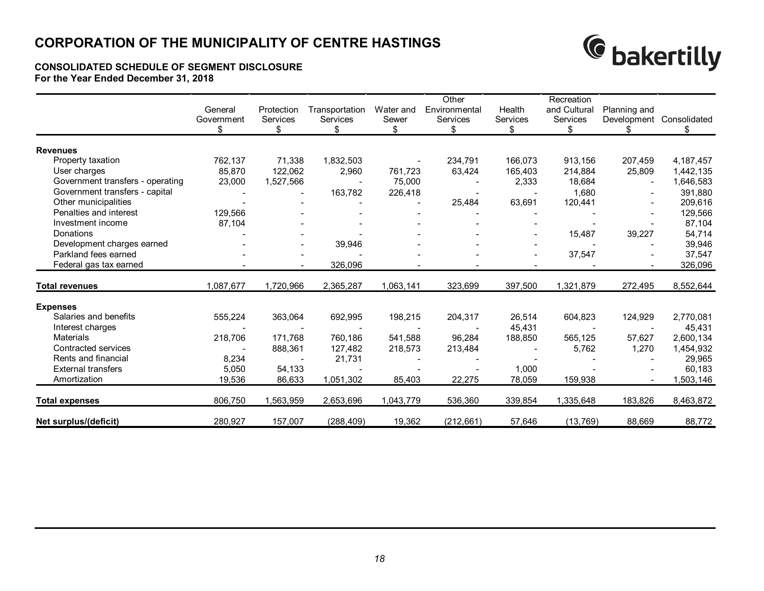

## **CONSOLIDATED SCHEDULE OF SEGMENT DISCLOSURE**

**For the Year Ended December 31, 2018**

|                                  |                |            |                |           | Other         |          | Recreation   |              |                          |
|----------------------------------|----------------|------------|----------------|-----------|---------------|----------|--------------|--------------|--------------------------|
|                                  | General        | Protection | Transportation | Water and | Environmental | Health   | and Cultural | Planning and |                          |
|                                  | Government     | Services   | Services       | Sewer     | Services      | Services | Services     |              | Development Consolidated |
|                                  | \$             | \$         | \$             | \$        | \$            | \$       | \$           | \$           | \$                       |
| <b>Revenues</b>                  |                |            |                |           |               |          |              |              |                          |
| Property taxation                | 762,137        | 71,338     | 1,832,503      |           | 234,791       | 166,073  | 913,156      | 207,459      | 4,187,457                |
| User charges                     | 85,870         | 122,062    | 2,960          | 761,723   | 63,424        | 165,403  | 214,884      | 25,809       | 1,442,135                |
| Government transfers - operating | 23,000         | 1,527,566  |                | 75,000    |               | 2,333    | 18,684       |              | 1,646,583                |
| Government transfers - capital   | $\blacksquare$ |            | 163,782        | 226,418   |               |          | 1,680        |              | 391,880                  |
| Other municipalities             |                |            |                |           | 25,484        | 63,691   | 120,441      |              | 209,616                  |
| Penalties and interest           | 129,566        |            |                |           |               |          |              |              | 129,566                  |
| Investment income                | 87,104         |            |                |           |               |          |              |              | 87,104                   |
| <b>Donations</b>                 |                |            |                |           |               |          | 15,487       | 39,227       | 54,714                   |
| Development charges earned       |                |            | 39,946         |           |               |          |              |              | 39,946                   |
| Parkland fees earned             |                |            |                |           |               |          | 37,547       |              | 37,547                   |
| Federal gas tax earned           |                |            | 326,096        |           |               |          |              |              | 326,096                  |
| <b>Total revenues</b>            | 1,087,677      | 1,720,966  | 2,365,287      | 1,063,141 | 323,699       | 397,500  | 1,321,879    | 272,495      | 8,552,644                |
| <b>Expenses</b>                  |                |            |                |           |               |          |              |              |                          |
| Salaries and benefits            | 555,224        | 363,064    | 692,995        | 198,215   | 204,317       | 26,514   | 604,823      | 124,929      | 2,770,081                |
| Interest charges                 |                |            |                |           |               | 45,431   |              |              | 45,431                   |
| <b>Materials</b>                 | 218,706        | 171,768    | 760,186        | 541,588   | 96,284        | 188,850  | 565,125      | 57,627       | 2,600,134                |
| Contracted services              |                | 888,361    | 127,482        | 218,573   | 213,484       |          | 5,762        | 1,270        | 1,454,932                |
| Rents and financial              | 8,234          |            | 21,731         |           |               |          |              |              | 29,965                   |
| <b>External transfers</b>        | 5,050          | 54,133     |                |           |               | 1,000    |              |              | 60,183                   |
| Amortization                     | 19,536         | 86,633     | 1,051,302      | 85,403    | 22,275        | 78,059   | 159,938      |              | 1,503,146                |
| <b>Total expenses</b>            | 806,750        | 1,563,959  | 2,653,696      | 1,043,779 | 536,360       | 339,854  | 1,335,648    | 183,826      | 8,463,872                |
| Net surplus/(deficit)            | 280,927        | 157,007    | (288, 409)     | 19,362    | (212, 661)    | 57,646   | (13, 769)    | 88,669       | 88,772                   |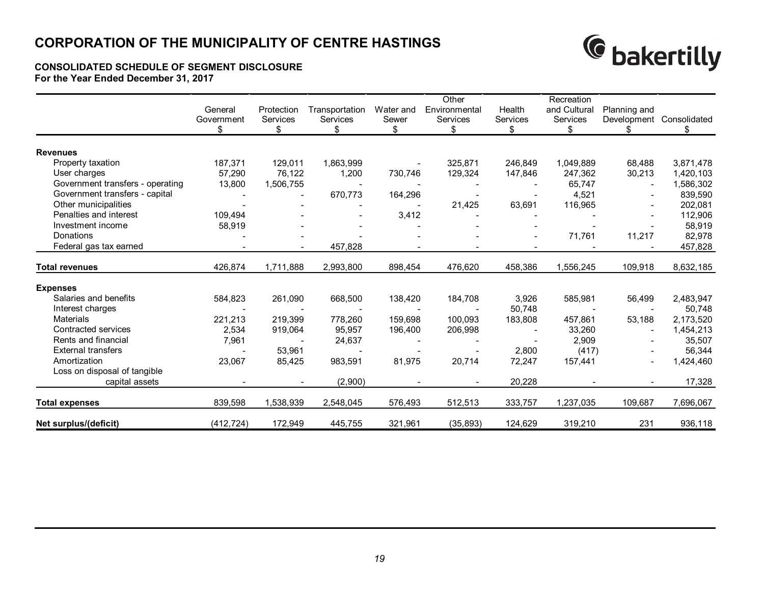

## **CONSOLIDATED SCHEDULE OF SEGMENT DISCLOSURE**

**For the Year Ended December 31, 2017**

|                                  |                          |                |                |           | Other                    |          | Recreation      |                |                          |
|----------------------------------|--------------------------|----------------|----------------|-----------|--------------------------|----------|-----------------|----------------|--------------------------|
|                                  | General                  | Protection     | Transportation | Water and | Environmental            | Health   | and Cultural    | Planning and   |                          |
|                                  | Government               | Services       | Services       | Sewer     | <b>Services</b>          | Services | <b>Services</b> |                | Development Consolidated |
|                                  | \$                       | \$             | \$             | \$        | \$                       | \$       | \$              | \$             | \$                       |
|                                  |                          |                |                |           |                          |          |                 |                |                          |
| <b>Revenues</b>                  |                          |                |                |           |                          |          |                 |                |                          |
| Property taxation                | 187,371                  | 129,011        | 1,863,999      |           | 325,871                  | 246,849  | 1,049,889       | 68,488         | 3,871,478                |
| User charges                     | 57,290                   | 76,122         | 1,200          | 730,746   | 129,324                  | 147,846  | 247,362         | 30,213         | 1,420,103                |
| Government transfers - operating | 13,800                   | 1,506,755      |                |           |                          |          | 65,747          |                | 1,586,302                |
| Government transfers - capital   | $\overline{\phantom{a}}$ | $\blacksquare$ | 670,773        | 164,296   | $\sim$                   |          | 4,521           |                | 839,590                  |
| Other municipalities             |                          |                |                |           | 21,425                   | 63,691   | 116,965         |                | 202,081                  |
| Penalties and interest           | 109,494                  |                |                | 3,412     |                          |          |                 |                | 112,906                  |
| Investment income                | 58,919                   |                |                |           |                          |          |                 |                | 58,919                   |
| Donations                        |                          |                |                |           |                          |          | 71,761          | 11,217         | 82,978                   |
| Federal gas tax earned           |                          |                | 457,828        |           |                          |          |                 |                | 457,828                  |
| <b>Total revenues</b>            | 426,874                  | 1,711,888      | 2,993,800      | 898,454   | 476,620                  | 458,386  | 1,556,245       | 109,918        | 8,632,185                |
| <b>Expenses</b>                  |                          |                |                |           |                          |          |                 |                |                          |
| Salaries and benefits            | 584,823                  | 261,090        | 668,500        | 138,420   | 184,708                  | 3,926    | 585,981         | 56,499         | 2,483,947                |
| Interest charges                 |                          |                |                |           | $\overline{\phantom{0}}$ | 50,748   |                 |                | 50,748                   |
| <b>Materials</b>                 | 221,213                  | 219,399        | 778,260        | 159,698   | 100,093                  | 183,808  | 457,861         | 53,188         | 2,173,520                |
| Contracted services              | 2,534                    | 919,064        | 95,957         | 196,400   | 206,998                  |          | 33,260          |                | 1,454,213                |
| Rents and financial              | 7,961                    |                | 24,637         |           |                          |          | 2,909           |                | 35,507                   |
| <b>External transfers</b>        |                          | 53,961         |                |           |                          | 2,800    | (417)           |                | 56,344                   |
| Amortization                     | 23,067                   | 85,425         | 983,591        | 81,975    | 20,714                   | 72,247   | 157,441         | $\blacksquare$ | 1,424,460                |
| Loss on disposal of tangible     |                          |                |                |           |                          |          |                 |                |                          |
| capital assets                   |                          |                | (2,900)        |           |                          | 20,228   |                 |                | 17,328                   |
| <b>Total expenses</b>            | 839,598                  | 1,538,939      | 2,548,045      | 576,493   | 512,513                  | 333,757  | 1,237,035       | 109,687        | 7,696,067                |
| Net surplus/(deficit)            | (412, 724)               | 172,949        | 445,755        | 321,961   | (35, 893)                | 124,629  | 319,210         | 231            | 936,118                  |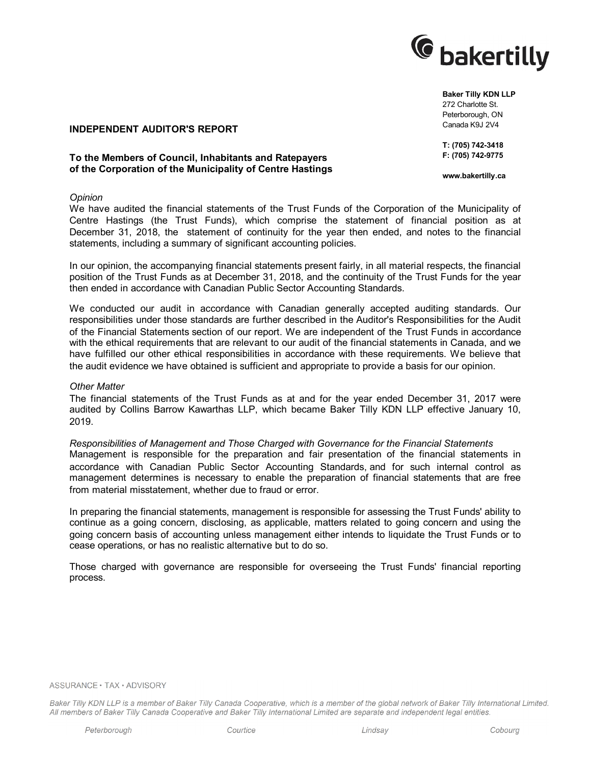

## **Baker Tilly KDN LLP**

272 Charlotte St. Peterborough, ON Canada K9J 2V4

**T: (705) 742-3418 F: (705) 742-9775**

**www.bakertilly.ca**

### **INDEPENDENT AUDITOR'S REPORT**

### **To the Members of Council, Inhabitants and Ratepayers of the Corporation of the Municipality of Centre Hastings**

#### *Opinion*

We have audited the financial statements of the Trust Funds of the Corporation of the Municipality of Centre Hastings (the Trust Funds), which comprise the statement of financial position as at December 31, 2018, the statement of continuity for the year then ended, and notes to the financial statements, including a summary of significant accounting policies.

In our opinion, the accompanying financial statements present fairly, in all material respects, the financial position of the Trust Funds as at December 31, 2018, and the continuity of the Trust Funds for the year then ended in accordance with Canadian Public Sector Accounting Standards.

We conducted our audit in accordance with Canadian generally accepted auditing standards. Our responsibilities under those standards are further described in the Auditor's Responsibilities for the Audit of the Financial Statements section of our report. We are independent of the Trust Funds in accordance with the ethical requirements that are relevant to our audit of the financial statements in Canada, and we have fulfilled our other ethical responsibilities in accordance with these requirements. We believe that the audit evidence we have obtained is sufficient and appropriate to provide a basis for our opinion.

### *Other Matter*

The financial statements of the Trust Funds as at and for the year ended December 31, 2017 were audited by Collins Barrow Kawarthas LLP, which became Baker Tilly KDN LLP effective January 10, 2019.

#### *Responsibilities of Management and Those Charged with Governance for the Financial Statements*

Management is responsible for the preparation and fair presentation of the financial statements in accordance with Canadian Public Sector Accounting Standards, and for such internal control as management determines is necessary to enable the preparation of financial statements that are free from material misstatement, whether due to fraud or error.

In preparing the financial statements, management is responsible for assessing the Trust Funds' ability to continue as a going concern, disclosing, as applicable, matters related to going concern and using the going concern basis of accounting unless management either intends to liquidate the Trust Funds or to cease operations, or has no realistic alternative but to do so.

Those charged with governance are responsible for overseeing the Trust Funds' financial reporting process.

#### ASSURANCE · TAX · ADVISORY

Baker Tilly KDN LLP is a member of Baker Tilly Canada Cooperative, which is a member of the global network of Baker Tilly International Limited. All members of Baker Tilly Canada Cooperative and Baker Tilly International Limited are separate and independent legal entities.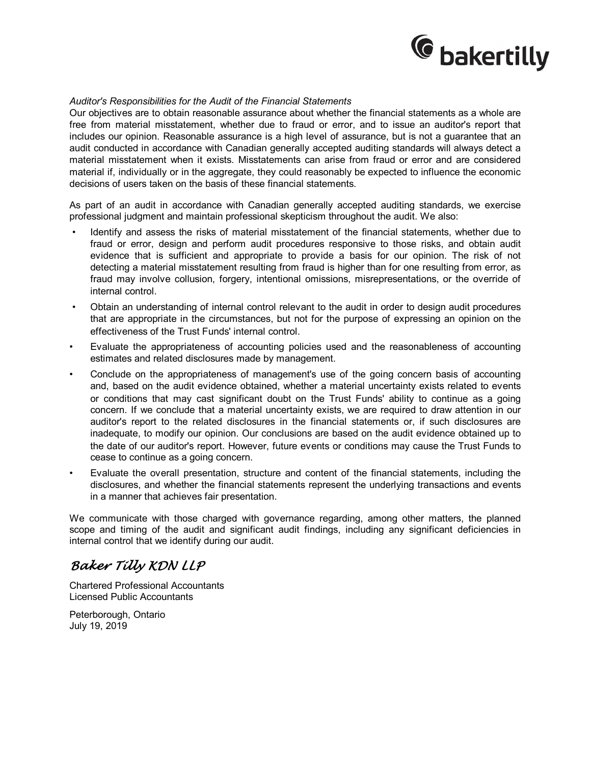

#### *Auditor's Responsibilities for the Audit of the Financial Statements*

Our objectives are to obtain reasonable assurance about whether the financial statements as a whole are free from material misstatement, whether due to fraud or error, and to issue an auditor's report that includes our opinion. Reasonable assurance is a high level of assurance, but is not a guarantee that an audit conducted in accordance with Canadian generally accepted auditing standards will always detect a material misstatement when it exists. Misstatements can arise from fraud or error and are considered material if, individually or in the aggregate, they could reasonably be expected to influence the economic decisions of users taken on the basis of these financial statements.

As part of an audit in accordance with Canadian generally accepted auditing standards, we exercise professional judgment and maintain professional skepticism throughout the audit. We also:

- Identify and assess the risks of material misstatement of the financial statements, whether due to fraud or error, design and perform audit procedures responsive to those risks, and obtain audit evidence that is sufficient and appropriate to provide a basis for our opinion. The risk of not detecting a material misstatement resulting from fraud is higher than for one resulting from error, as fraud may involve collusion, forgery, intentional omissions, misrepresentations, or the override of internal control.
- Obtain an understanding of internal control relevant to the audit in order to design audit procedures that are appropriate in the circumstances, but not for the purpose of expressing an opinion on the effectiveness of the Trust Funds' internal control.
- Evaluate the appropriateness of accounting policies used and the reasonableness of accounting estimates and related disclosures made by management.
- Conclude on the appropriateness of management's use of the going concern basis of accounting and, based on the audit evidence obtained, whether a material uncertainty exists related to events or conditions that may cast significant doubt on the Trust Funds' ability to continue as a going concern. If we conclude that a material uncertainty exists, we are required to draw attention in our auditor's report to the related disclosures in the financial statements or, if such disclosures are inadequate, to modify our opinion. Our conclusions are based on the audit evidence obtained up to the date of our auditor's report. However, future events or conditions may cause the Trust Funds to cease to continue as a going concern.
- Evaluate the overall presentation, structure and content of the financial statements, including the disclosures, and whether the financial statements represent the underlying transactions and events in a manner that achieves fair presentation.

We communicate with those charged with governance regarding, among other matters, the planned scope and timing of the audit and significant audit findings, including any significant deficiencies in internal control that we identify during our audit.

# *Baker Tilly KDN LLP*

Chartered Professional Accountants Licensed Public Accountants

Peterborough, Ontario July 19, 2019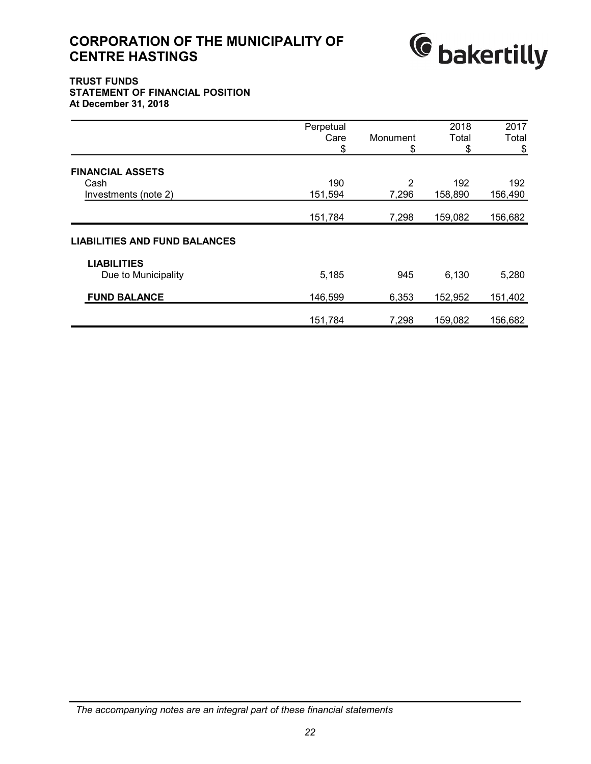

## **TRUST FUNDS STATEMENT OF FINANCIAL POSITION At December 31, 2018**

|                                      | Perpetual |                | 2018    | 2017                  |
|--------------------------------------|-----------|----------------|---------|-----------------------|
|                                      | Care      | Monument       | Total   | Total                 |
|                                      | \$        | \$             | \$      | $\boldsymbol{\theta}$ |
| <b>FINANCIAL ASSETS</b>              |           |                |         |                       |
| Cash                                 | 190       | $\overline{2}$ | 192     | 192                   |
| Investments (note 2)                 | 151,594   | 7,296          | 158,890 | 156,490               |
|                                      |           |                |         |                       |
|                                      | 151,784   | 7,298          | 159,082 | 156,682               |
| <b>LIABILITIES AND FUND BALANCES</b> |           |                |         |                       |
| <b>LIABILITIES</b>                   |           |                |         |                       |
| Due to Municipality                  | 5,185     | 945            | 6,130   | 5,280                 |
| <b>FUND BALANCE</b>                  | 146,599   | 6,353          | 152,952 | 151,402               |
|                                      | 151,784   | 7,298          | 159,082 | 156,682               |

 *The accompanying notes are an integral part of these financial statements*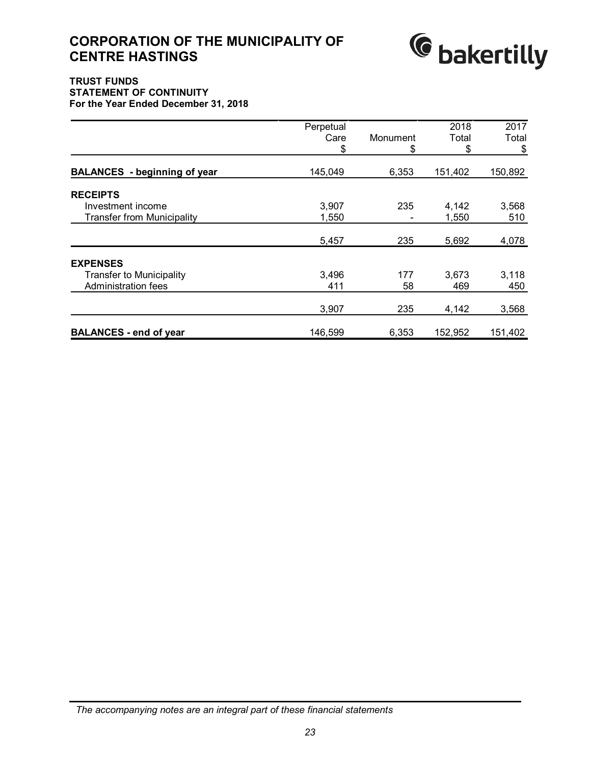

### **TRUST FUNDS STATEMENT OF CONTINUITY For the Year Ended December 31, 2018**

|                                     | Perpetual |          | 2018    | 2017    |
|-------------------------------------|-----------|----------|---------|---------|
|                                     | Care      | Monument | Total   | Total   |
|                                     | \$        | \$       | \$      | \$      |
| <b>BALANCES</b> - beginning of year | 145,049   | 6,353    | 151,402 | 150,892 |
| <b>RECEIPTS</b>                     |           |          |         |         |
| Investment income                   | 3,907     | 235      | 4,142   | 3,568   |
| <b>Transfer from Municipality</b>   | 1,550     |          | 1,550   | 510     |
|                                     | 5,457     | 235      | 5,692   | 4,078   |
| <b>EXPENSES</b>                     |           |          |         |         |
| <b>Transfer to Municipality</b>     | 3,496     | 177      | 3,673   | 3,118   |
| <b>Administration fees</b>          | 411       | 58       | 469     | 450     |
|                                     | 3,907     | 235      | 4,142   | 3,568   |
| <b>BALANCES</b> - end of year       | 146,599   | 6,353    | 152,952 | 151,402 |

 *The accompanying notes are an integral part of these financial statements*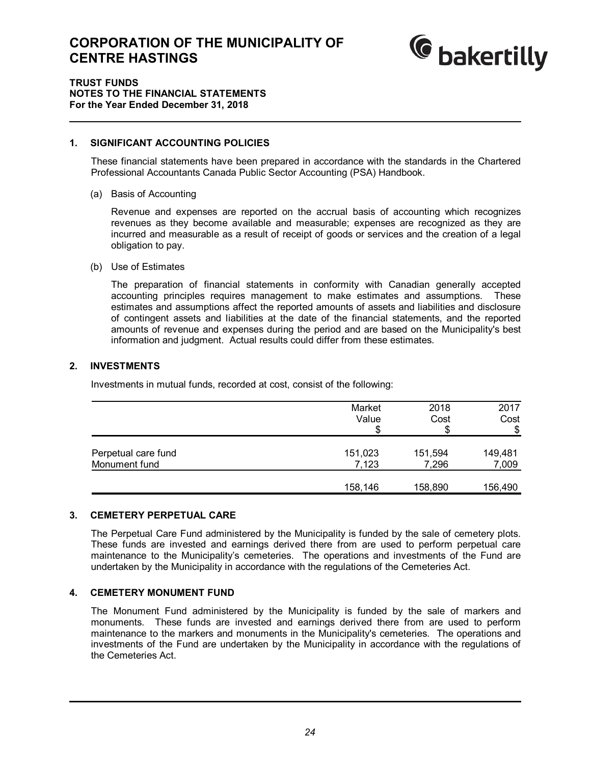

### **TRUST FUNDS NOTES TO THE FINANCIAL STATEMENTS For the Year Ended December 31, 2018**

### **1. SIGNIFICANT ACCOUNTING POLICIES**

These financial statements have been prepared in accordance with the standards in the Chartered Professional Accountants Canada Public Sector Accounting (PSA) Handbook.

(a) Basis of Accounting

Revenue and expenses are reported on the accrual basis of accounting which recognizes revenues as they become available and measurable; expenses are recognized as they are incurred and measurable as a result of receipt of goods or services and the creation of a legal obligation to pay.

(b) Use of Estimates

The preparation of financial statements in conformity with Canadian generally accepted accounting principles requires management to make estimates and assumptions. These estimates and assumptions affect the reported amounts of assets and liabilities and disclosure of contingent assets and liabilities at the date of the financial statements, and the reported amounts of revenue and expenses during the period and are based on the Municipality's best information and judgment. Actual results could differ from these estimates.

## **2. INVESTMENTS**

Investments in mutual funds, recorded at cost, consist of the following:

|                     | Market<br>Value | 2018<br>Cost | 2017<br>Cost<br>\$ |
|---------------------|-----------------|--------------|--------------------|
| Perpetual care fund | 151,023         | 151,594      | 149,481            |
| Monument fund       | 7,123           | 7,296        | 7,009              |
|                     | 158,146         | 158,890      | 156,490            |

## **3. CEMETERY PERPETUAL CARE**

The Perpetual Care Fund administered by the Municipality is funded by the sale of cemetery plots. These funds are invested and earnings derived there from are used to perform perpetual care maintenance to the Municipality's cemeteries. The operations and investments of the Fund are undertaken by the Municipality in accordance with the regulations of the Cemeteries Act.

## **4. CEMETERY MONUMENT FUND**

The Monument Fund administered by the Municipality is funded by the sale of markers and monuments. These funds are invested and earnings derived there from are used to perform maintenance to the markers and monuments in the Municipality's cemeteries. The operations and investments of the Fund are undertaken by the Municipality in accordance with the regulations of the Cemeteries Act.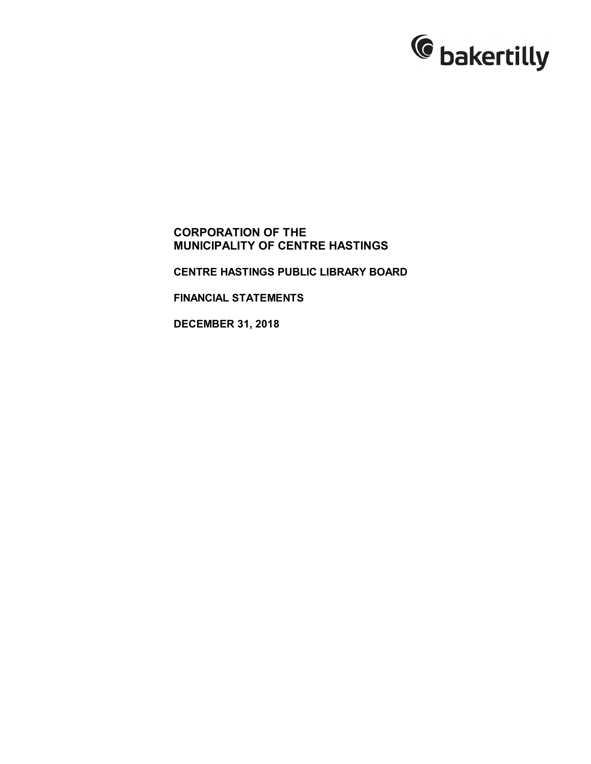

**CENTRE HASTINGS PUBLIC LIBRARY BOARD**

**FINANCIAL STATEMENTS**

**DECEMBER 31, 2018**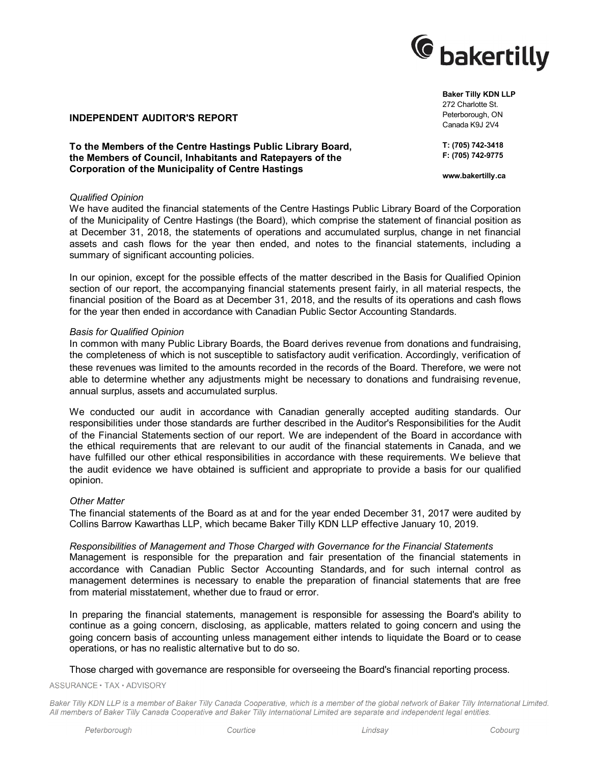

#### **INDEPENDENT AUDITOR'S REPORT**

### **To the Members of the Centre Hastings Public Library Board, the Members of Council, Inhabitants and Ratepayers of the Corporation of the Municipality of Centre Hastings**

#### *Qualified Opinion*

We have audited the financial statements of the Centre Hastings Public Library Board of the Corporation of the Municipality of Centre Hastings (the Board), which comprise the statement of financial position as at December 31, 2018, the statements of operations and accumulated surplus, change in net financial assets and cash flows for the year then ended, and notes to the financial statements, including a summary of significant accounting policies.

In our opinion, except for the possible effects of the matter described in the Basis for Qualified Opinion section of our report, the accompanying financial statements present fairly, in all material respects, the financial position of the Board as at December 31, 2018, and the results of its operations and cash flows for the year then ended in accordance with Canadian Public Sector Accounting Standards.

#### *Basis for Qualified Opinion*

In common with many Public Library Boards, the Board derives revenue from donations and fundraising, the completeness of which is not susceptible to satisfactory audit verification. Accordingly, verification of these revenues was limited to the amounts recorded in the records of the Board. Therefore, we were not able to determine whether any adjustments might be necessary to donations and fundraising revenue, annual surplus, assets and accumulated surplus.

We conducted our audit in accordance with Canadian generally accepted auditing standards. Our responsibilities under those standards are further described in the Auditor's Responsibilities for the Audit of the Financial Statements section of our report. We are independent of the Board in accordance with the ethical requirements that are relevant to our audit of the financial statements in Canada, and we have fulfilled our other ethical responsibilities in accordance with these requirements. We believe that the audit evidence we have obtained is sufficient and appropriate to provide a basis for our qualified opinion.

#### *Other Matter*

The financial statements of the Board as at and for the year ended December 31, 2017 were audited by Collins Barrow Kawarthas LLP, which became Baker Tilly KDN LLP effective January 10, 2019.

#### *Responsibilities of Management and Those Charged with Governance for the Financial Statements*

Management is responsible for the preparation and fair presentation of the financial statements in accordance with Canadian Public Sector Accounting Standards, and for such internal control as management determines is necessary to enable the preparation of financial statements that are free from material misstatement, whether due to fraud or error.

In preparing the financial statements, management is responsible for assessing the Board's ability to continue as a going concern, disclosing, as applicable, matters related to going concern and using the going concern basis of accounting unless management either intends to liquidate the Board or to cease operations, or has no realistic alternative but to do so.

Those charged with governance are responsible for overseeing the Board's financial reporting process.

ASSURANCE · TAX · ADVISORY

Baker Tilly KDN LLP is a member of Baker Tilly Canada Cooperative, which is a member of the global network of Baker Tilly International Limited. All members of Baker Tilly Canada Cooperative and Baker Tilly International Limited are separate and independent legal entities.

**Baker Tilly KDN LLP** 272 Charlotte St. Peterborough, ON Canada K9J 2V4

**T: (705) 742-3418 F: (705) 742-9775**

**www.bakertilly.ca**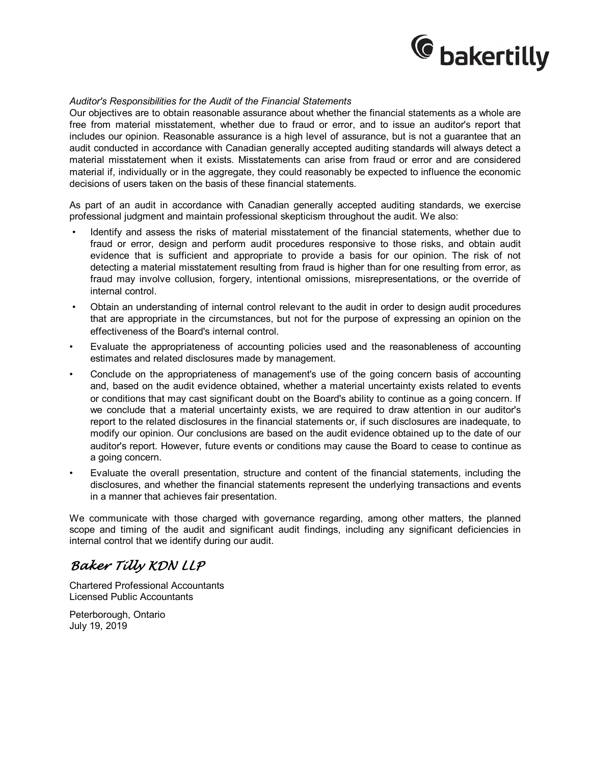

#### *Auditor's Responsibilities for the Audit of the Financial Statements*

Our objectives are to obtain reasonable assurance about whether the financial statements as a whole are free from material misstatement, whether due to fraud or error, and to issue an auditor's report that includes our opinion. Reasonable assurance is a high level of assurance, but is not a guarantee that an audit conducted in accordance with Canadian generally accepted auditing standards will always detect a material misstatement when it exists. Misstatements can arise from fraud or error and are considered material if, individually or in the aggregate, they could reasonably be expected to influence the economic decisions of users taken on the basis of these financial statements.

As part of an audit in accordance with Canadian generally accepted auditing standards, we exercise professional judgment and maintain professional skepticism throughout the audit. We also:

- Identify and assess the risks of material misstatement of the financial statements, whether due to fraud or error, design and perform audit procedures responsive to those risks, and obtain audit evidence that is sufficient and appropriate to provide a basis for our opinion. The risk of not detecting a material misstatement resulting from fraud is higher than for one resulting from error, as fraud may involve collusion, forgery, intentional omissions, misrepresentations, or the override of internal control.
- Obtain an understanding of internal control relevant to the audit in order to design audit procedures that are appropriate in the circumstances, but not for the purpose of expressing an opinion on the effectiveness of the Board's internal control.
- Evaluate the appropriateness of accounting policies used and the reasonableness of accounting estimates and related disclosures made by management.
- Conclude on the appropriateness of management's use of the going concern basis of accounting and, based on the audit evidence obtained, whether a material uncertainty exists related to events or conditions that may cast significant doubt on the Board's ability to continue as a going concern. If we conclude that a material uncertainty exists, we are required to draw attention in our auditor's report to the related disclosures in the financial statements or, if such disclosures are inadequate, to modify our opinion. Our conclusions are based on the audit evidence obtained up to the date of our auditor's report. However, future events or conditions may cause the Board to cease to continue as a going concern.
- Evaluate the overall presentation, structure and content of the financial statements, including the disclosures, and whether the financial statements represent the underlying transactions and events in a manner that achieves fair presentation.

We communicate with those charged with governance regarding, among other matters, the planned scope and timing of the audit and significant audit findings, including any significant deficiencies in internal control that we identify during our audit.

# *Baker Tilly KDN LLP*

Chartered Professional Accountants Licensed Public Accountants

Peterborough, Ontario July 19, 2019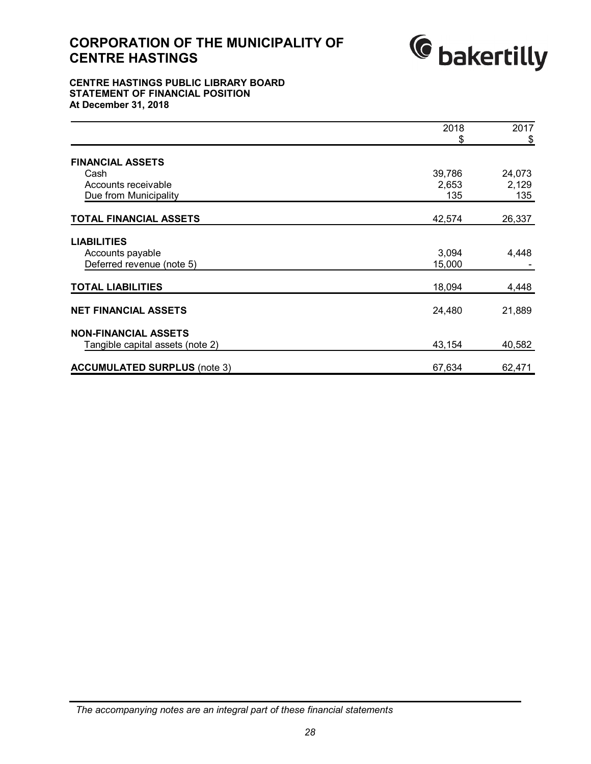

## **CENTRE HASTINGS PUBLIC LIBRARY BOARD STATEMENT OF FINANCIAL POSITION At December 31, 2018**

|                                     | 2018   | 2017   |
|-------------------------------------|--------|--------|
|                                     | \$     | \$     |
| <b>FINANCIAL ASSETS</b>             |        |        |
| Cash                                | 39,786 | 24,073 |
| Accounts receivable                 | 2,653  | 2,129  |
| Due from Municipality               | 135    | 135    |
| <b>TOTAL FINANCIAL ASSETS</b>       | 42,574 | 26,337 |
| <b>LIABILITIES</b>                  |        |        |
| Accounts payable                    | 3,094  | 4,448  |
| Deferred revenue (note 5)           | 15,000 |        |
| <b>TOTAL LIABILITIES</b>            | 18,094 | 4,448  |
| <b>NET FINANCIAL ASSETS</b>         | 24,480 | 21,889 |
| <b>NON-FINANCIAL ASSETS</b>         |        |        |
| Tangible capital assets (note 2)    | 43,154 | 40,582 |
| <b>ACCUMULATED SURPLUS (note 3)</b> | 67,634 | 62,471 |

*The accompanying notes are an integral part of these financial statements*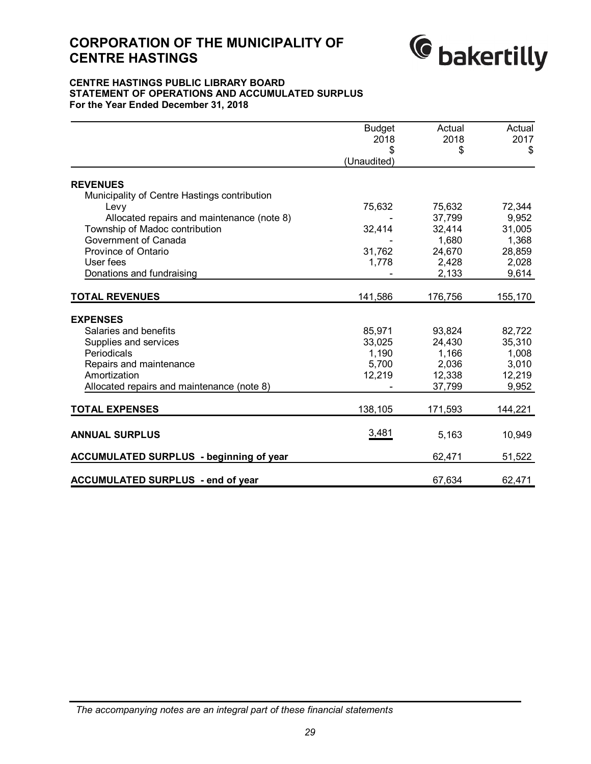

## **CENTRE HASTINGS PUBLIC LIBRARY BOARD STATEMENT OF OPERATIONS AND ACCUMULATED SURPLUS For the Year Ended December 31, 2018**

|                                                | <b>Budget</b>     | Actual  | Actual  |
|------------------------------------------------|-------------------|---------|---------|
|                                                | 2018              | 2018    | 2017    |
|                                                | \$<br>(Unaudited) | \$      | \$      |
|                                                |                   |         |         |
| <b>REVENUES</b>                                |                   |         |         |
| Municipality of Centre Hastings contribution   |                   |         |         |
| Levy                                           | 75,632            | 75,632  | 72,344  |
| Allocated repairs and maintenance (note 8)     |                   | 37,799  | 9,952   |
| Township of Madoc contribution                 | 32,414            | 32,414  | 31,005  |
| Government of Canada                           |                   | 1,680   | 1,368   |
| Province of Ontario                            | 31,762            | 24,670  | 28,859  |
| User fees                                      | 1,778             | 2,428   | 2,028   |
| Donations and fundraising                      |                   | 2,133   | 9,614   |
|                                                |                   |         |         |
| <b>TOTAL REVENUES</b>                          | 141,586           | 176,756 | 155,170 |
|                                                |                   |         |         |
| <b>EXPENSES</b>                                |                   |         |         |
| Salaries and benefits                          | 85,971            | 93,824  | 82,722  |
| Supplies and services                          | 33,025            | 24,430  | 35,310  |
| Periodicals                                    | 1,190             | 1,166   | 1,008   |
| Repairs and maintenance                        | 5,700             | 2,036   | 3,010   |
| Amortization                                   | 12,219            | 12,338  | 12,219  |
| Allocated repairs and maintenance (note 8)     |                   | 37,799  | 9,952   |
|                                                |                   |         |         |
| <b>TOTAL EXPENSES</b>                          | 138,105           | 171,593 | 144,221 |
|                                                |                   |         |         |
| <b>ANNUAL SURPLUS</b>                          | 3,481             | 5,163   | 10,949  |
| <b>ACCUMULATED SURPLUS</b> - beginning of year |                   | 62,471  | 51,522  |
|                                                |                   |         |         |
| <b>ACCUMULATED SURPLUS - end of year</b>       |                   | 67,634  | 62,471  |

 *The accompanying notes are an integral part of these financial statements*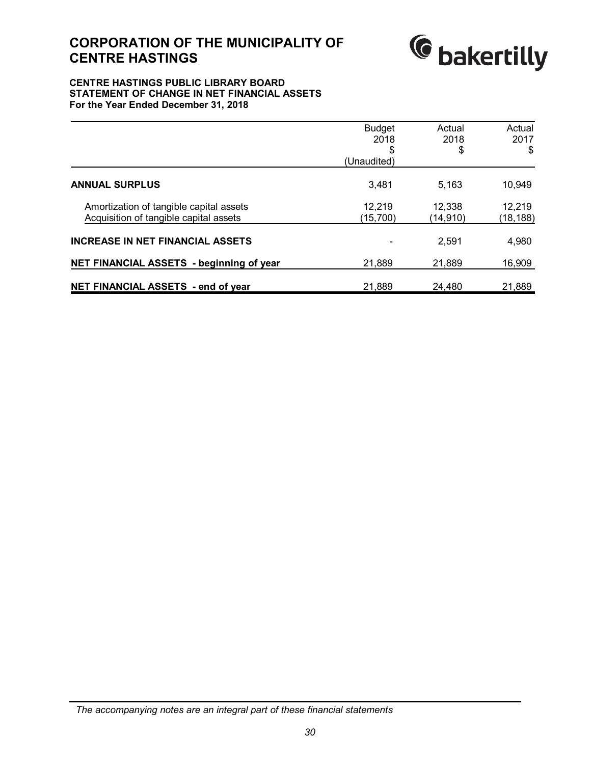

## **CENTRE HASTINGS PUBLIC LIBRARY BOARD STATEMENT OF CHANGE IN NET FINANCIAL ASSETS For the Year Ended December 31, 2018**

|                                                                                   | <b>Budget</b><br>2018 | Actual<br>2018      | Actual<br>2017      |
|-----------------------------------------------------------------------------------|-----------------------|---------------------|---------------------|
|                                                                                   | \$<br>(Unaudited)     | \$                  | \$                  |
| <b>ANNUAL SURPLUS</b>                                                             | 3,481                 | 5.163               | 10,949              |
| Amortization of tangible capital assets<br>Acquisition of tangible capital assets | 12,219<br>(15,700)    | 12,338<br>(14, 910) | 12,219<br>(18, 188) |
| <b>INCREASE IN NET FINANCIAL ASSETS</b>                                           |                       | 2,591               | 4,980               |
| NET FINANCIAL ASSETS - beginning of year                                          | 21,889                | 21,889              | 16,909              |
| NET FINANCIAL ASSETS - end of year                                                | 21,889                | 24,480              | 21,889              |

*The accompanying notes are an integral part of these financial statements*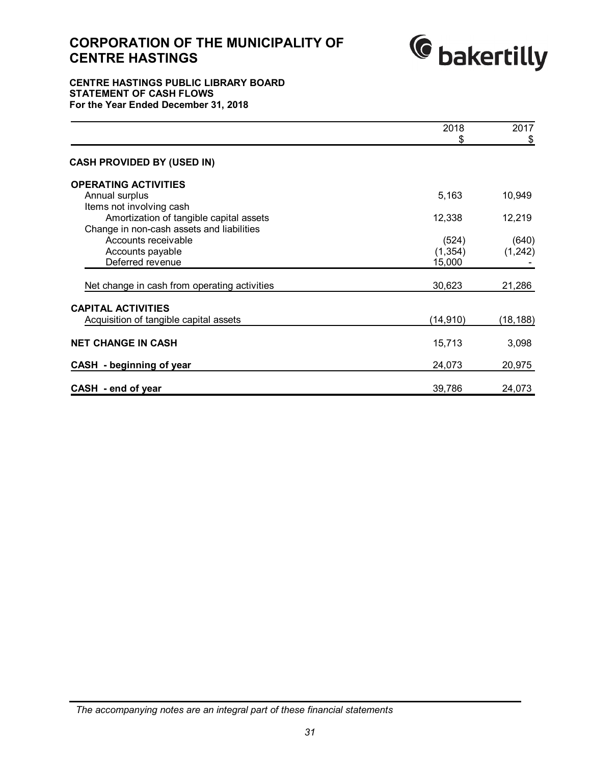

### **CENTRE HASTINGS PUBLIC LIBRARY BOARD STATEMENT OF CASH FLOWS For the Year Ended December 31, 2018**

|                                              | 2018<br>\$ | 2017<br>\$ |
|----------------------------------------------|------------|------------|
| <b>CASH PROVIDED BY (USED IN)</b>            |            |            |
| <b>OPERATING ACTIVITIES</b>                  |            |            |
| Annual surplus                               | 5,163      | 10,949     |
| Items not involving cash                     |            |            |
| Amortization of tangible capital assets      | 12,338     | 12,219     |
| Change in non-cash assets and liabilities    |            |            |
| Accounts receivable                          | (524)      | (640)      |
| Accounts payable                             | (1, 354)   | (1, 242)   |
| Deferred revenue                             | 15,000     |            |
| Net change in cash from operating activities | 30,623     | 21,286     |
| <b>CAPITAL ACTIVITIES</b>                    |            |            |
| Acquisition of tangible capital assets       | (14, 910)  | (18, 188)  |
| <b>NET CHANGE IN CASH</b>                    | 15,713     | 3,098      |
| CASH - beginning of year                     | 24,073     | 20,975     |
| CASH - end of year                           | 39,786     | 24,073     |

*The accompanying notes are an integral part of these financial statements*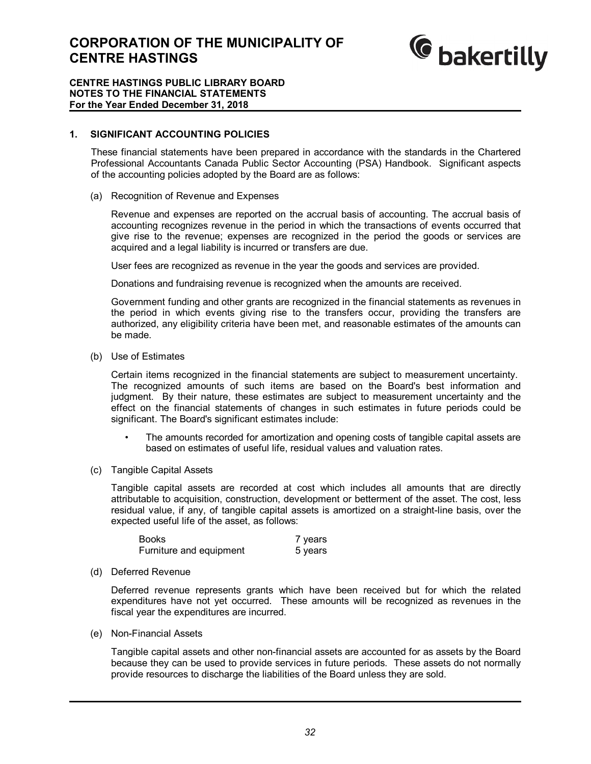

### **CENTRE HASTINGS PUBLIC LIBRARY BOARD NOTES TO THE FINANCIAL STATEMENTS For the Year Ended December 31, 2018**

#### **1. SIGNIFICANT ACCOUNTING POLICIES**

These financial statements have been prepared in accordance with the standards in the Chartered Professional Accountants Canada Public Sector Accounting (PSA) Handbook. Significant aspects of the accounting policies adopted by the Board are as follows:

(a) Recognition of Revenue and Expenses

Revenue and expenses are reported on the accrual basis of accounting. The accrual basis of accounting recognizes revenue in the period in which the transactions of events occurred that give rise to the revenue; expenses are recognized in the period the goods or services are acquired and a legal liability is incurred or transfers are due.

User fees are recognized as revenue in the year the goods and services are provided.

Donations and fundraising revenue is recognized when the amounts are received.

Government funding and other grants are recognized in the financial statements as revenues in the period in which events giving rise to the transfers occur, providing the transfers are authorized, any eligibility criteria have been met, and reasonable estimates of the amounts can be made.

(b) Use of Estimates

Certain items recognized in the financial statements are subject to measurement uncertainty. The recognized amounts of such items are based on the Board's best information and judgment. By their nature, these estimates are subject to measurement uncertainty and the effect on the financial statements of changes in such estimates in future periods could be significant. The Board's significant estimates include:

- The amounts recorded for amortization and opening costs of tangible capital assets are based on estimates of useful life, residual values and valuation rates.
- (c) Tangible Capital Assets

Tangible capital assets are recorded at cost which includes all amounts that are directly attributable to acquisition, construction, development or betterment of the asset. The cost, less residual value, if any, of tangible capital assets is amortized on a straight-line basis, over the expected useful life of the asset, as follows:

| Books                   | 7 years |
|-------------------------|---------|
| Furniture and equipment | 5 years |

#### (d) Deferred Revenue

Deferred revenue represents grants which have been received but for which the related expenditures have not yet occurred. These amounts will be recognized as revenues in the fiscal year the expenditures are incurred.

(e) Non-Financial Assets

Tangible capital assets and other non-financial assets are accounted for as assets by the Board because they can be used to provide services in future periods. These assets do not normally provide resources to discharge the liabilities of the Board unless they are sold.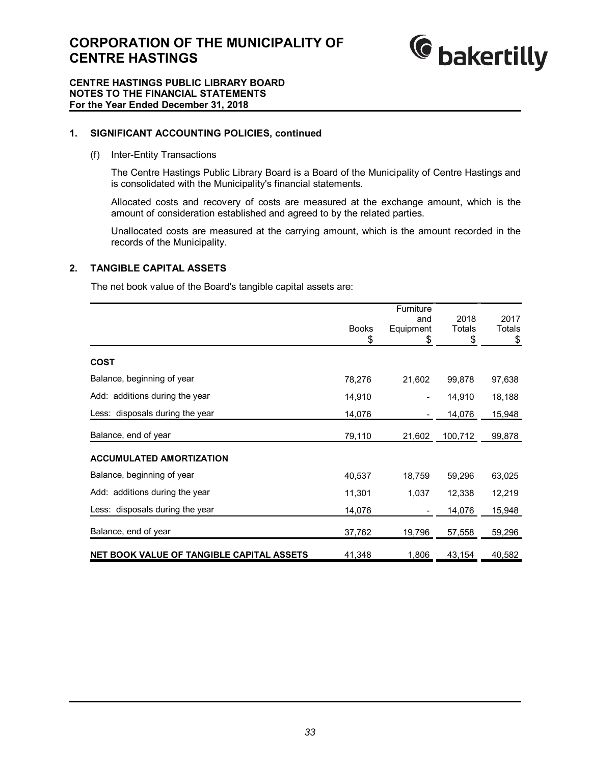

### **CENTRE HASTINGS PUBLIC LIBRARY BOARD NOTES TO THE FINANCIAL STATEMENTS For the Year Ended December 31, 2018**

### **1. SIGNIFICANT ACCOUNTING POLICIES, continued**

(f) Inter-Entity Transactions

The Centre Hastings Public Library Board is a Board of the Municipality of Centre Hastings and is consolidated with the Municipality's financial statements.

Allocated costs and recovery of costs are measured at the exchange amount, which is the amount of consideration established and agreed to by the related parties.

Unallocated costs are measured at the carrying amount, which is the amount recorded in the records of the Municipality.

### **2. TANGIBLE CAPITAL ASSETS**

The net book value of the Board's tangible capital assets are:

|                                           |              | Furniture                    |                |                |
|-------------------------------------------|--------------|------------------------------|----------------|----------------|
|                                           | <b>Books</b> | and<br>Equipment             | 2018<br>Totals | 2017<br>Totals |
|                                           | \$           | \$                           | \$             | \$             |
| <b>COST</b>                               |              |                              |                |                |
| Balance, beginning of year                | 78,276       | 21,602                       | 99,878         | 97,638         |
| Add: additions during the year            | 14,910       | $\blacksquare$               | 14,910         | 18,188         |
| Less: disposals during the year           | 14,076       | $\overline{\phantom{a}}$     | 14,076         | 15,948         |
| Balance, end of year                      | 79,110       | 21,602                       | 100,712        | 99,878         |
| <b>ACCUMULATED AMORTIZATION</b>           |              |                              |                |                |
| Balance, beginning of year                | 40,537       | 18,759                       | 59,296         | 63,025         |
| Add: additions during the year            | 11,301       | 1,037                        | 12,338         | 12,219         |
| Less: disposals during the year           | 14,076       | $\qquad \qquad \blacksquare$ | 14,076         | 15,948         |
| Balance, end of year                      | 37,762       | 19,796                       | 57,558         | 59,296         |
| NET BOOK VALUE OF TANGIBLE CAPITAL ASSETS | 41,348       | 1,806                        | 43,154         | 40,582         |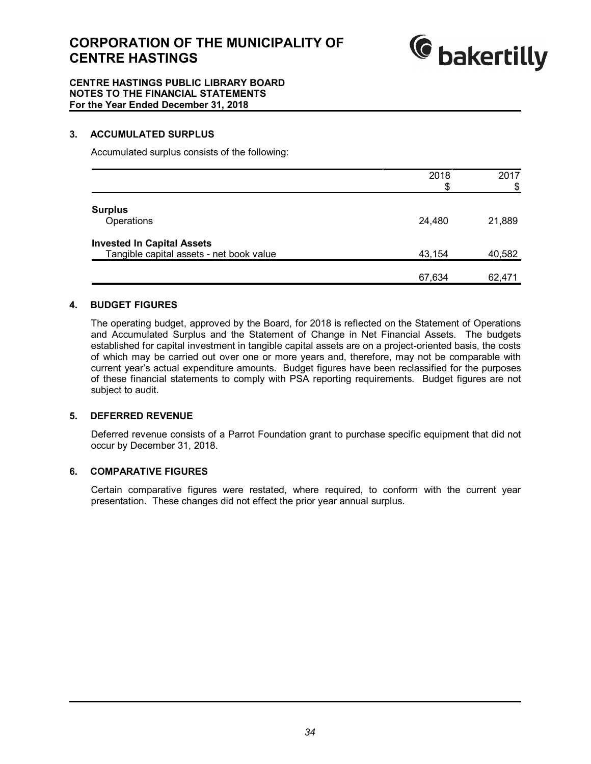

### **CENTRE HASTINGS PUBLIC LIBRARY BOARD NOTES TO THE FINANCIAL STATEMENTS For the Year Ended December 31, 2018**

#### **3. ACCUMULATED SURPLUS**

Accumulated surplus consists of the following:

|                                          | 2018<br>œ | 2017<br>\$ |
|------------------------------------------|-----------|------------|
| <b>Surplus</b>                           |           |            |
| Operations                               | 24,480    | 21,889     |
| <b>Invested In Capital Assets</b>        |           |            |
| Tangible capital assets - net book value | 43,154    | 40,582     |
|                                          |           |            |
|                                          | 67,634    | 62,471     |

#### **4. BUDGET FIGURES**

The operating budget, approved by the Board, for 2018 is reflected on the Statement of Operations and Accumulated Surplus and the Statement of Change in Net Financial Assets. The budgets established for capital investment in tangible capital assets are on a project-oriented basis, the costs of which may be carried out over one or more years and, therefore, may not be comparable with current year's actual expenditure amounts. Budget figures have been reclassified for the purposes of these financial statements to comply with PSA reporting requirements. Budget figures are not subject to audit.

### **5. DEFERRED REVENUE**

Deferred revenue consists of a Parrot Foundation grant to purchase specific equipment that did not occur by December 31, 2018.

#### **6. COMPARATIVE FIGURES**

Certain comparative figures were restated, where required, to conform with the current year presentation. These changes did not effect the prior year annual surplus.